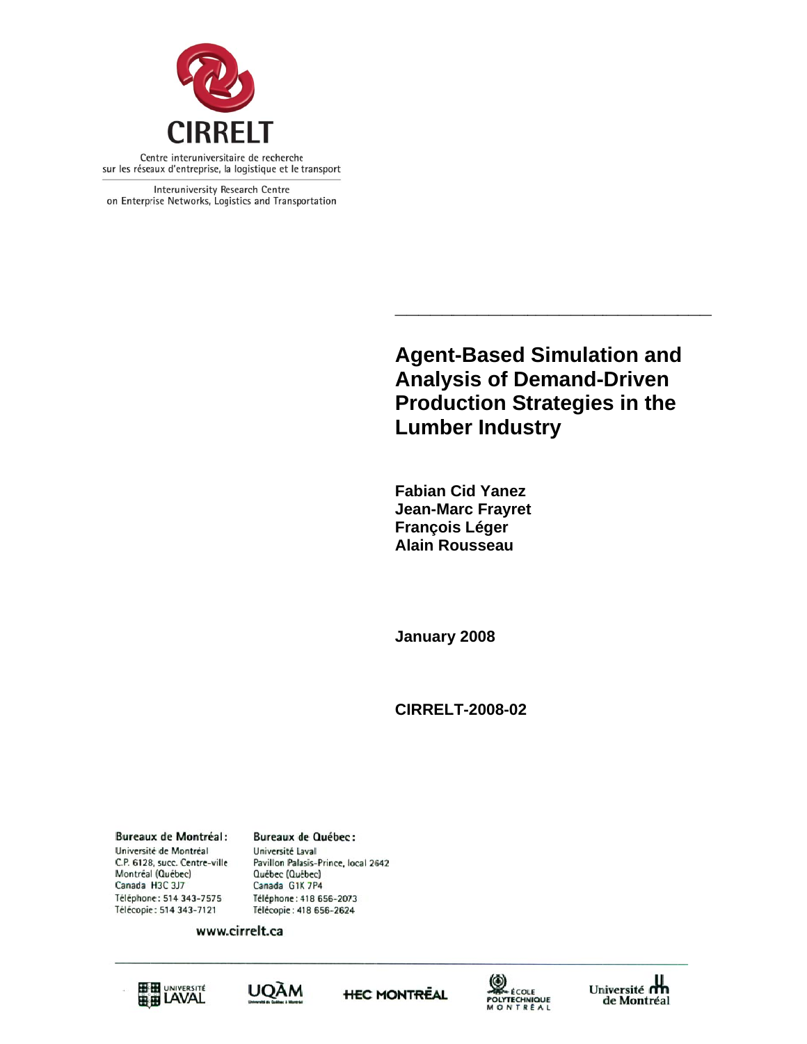

Interuniversity Research Centre on Enterprise Networks, Logistics and Transportation

> **Agent t-Based Simulat Analy ysis of D Demand--Driven Production Strategies in the Lumber Industry Simulation and<br>Pemand-Driven<br>trategies in the<br>stry<br>t tion and d**

**\_\_\_\_\_\_\_**

**\_\_\_**

**Fabian C Cid Yanez Jean-Ma arc Frayret Françoi s Léger Alain Ro ousseau** 

**\_\_\_\_\_**

**\_\_\_\_\_\_\_\_**

**January y 2008** 

**CIRREL LT-2008-02**

**Bureaux de Montréal:** Université de Montréal C.P. 6128, succ. Centre-ville Montréal (Québec) Canada H3C 3J7 Téléphone: 514 343-7575 Télécopie: 514 343-7121

**Bureaux de Québec:** Université Laval Pavillon Palasis-Prince, local 2642 Québec (Québec) Canada G1K 7P4 Téléphone: 418 656-2073 Télécopie: 418 656-2624

www.cirrelt.ca









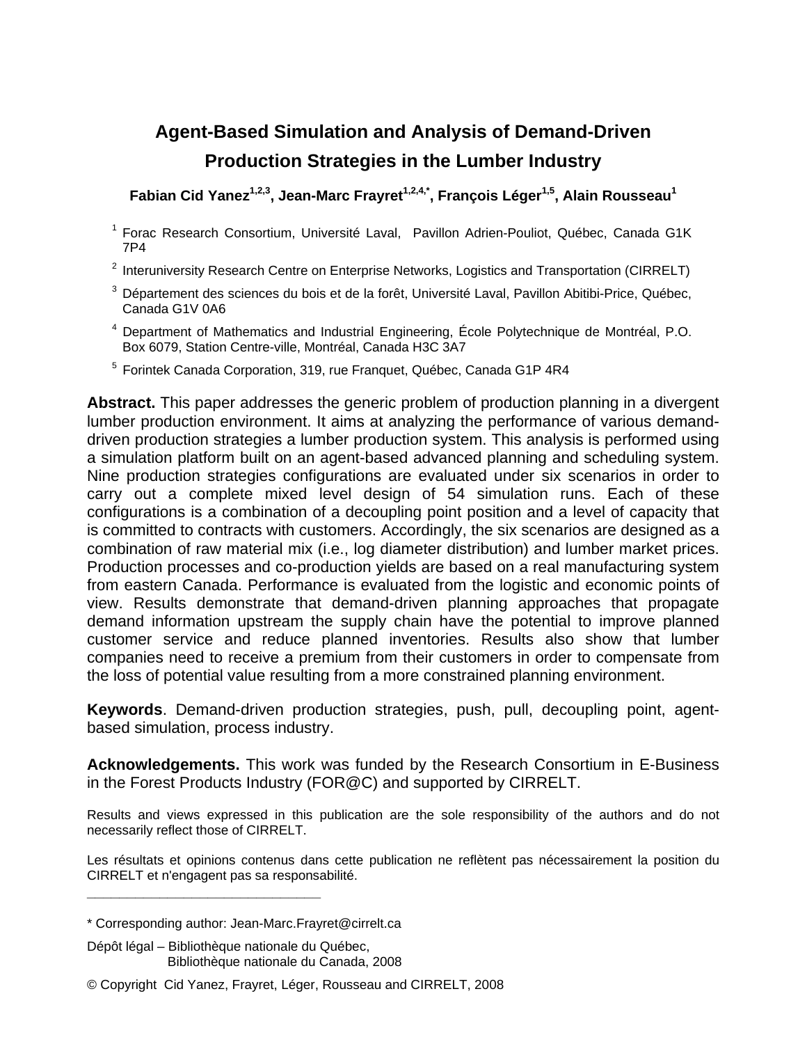# **Agent-Based Simulation and Analysis of Demand-Driven Production Strategies in the Lumber Industry**

Fabian Cid Yanez<sup>1,2,3</sup>, Jean-Marc Frayret<sup>1,2,4,\*</sup>, François Léger<sup>1,5</sup>, Alain Rousseau<sup>1</sup>

- 1 Forac Research Consortium, Université Laval, Pavillon Adrien-Pouliot, Québec, Canada G1K 7P4
- <sup>2</sup> Interuniversity Research Centre on Enterprise Networks, Logistics and Transportation (CIRRELT)
- 3 Département des sciences du bois et de la forêt, Université Laval, Pavillon Abitibi-Price, Québec, Canada G1V 0A6
- 4 Department of Mathematics and Industrial Engineering, École Polytechnique de Montréal, P.O. Box 6079, Station Centre-ville, Montréal, Canada H3C 3A7
- <sup>5</sup> Forintek Canada Corporation, 319, rue Franquet, Québec, Canada G1P 4R4

**Abstract.** This paper addresses the generic problem of production planning in a divergent lumber production environment. It aims at analyzing the performance of various demanddriven production strategies a lumber production system. This analysis is performed using a simulation platform built on an agent-based advanced planning and scheduling system. Nine production strategies configurations are evaluated under six scenarios in order to carry out a complete mixed level design of 54 simulation runs. Each of these configurations is a combination of a decoupling point position and a level of capacity that is committed to contracts with customers. Accordingly, the six scenarios are designed as a combination of raw material mix (i.e., log diameter distribution) and lumber market prices. Production processes and co-production yields are based on a real manufacturing system from eastern Canada. Performance is evaluated from the logistic and economic points of view. Results demonstrate that demand-driven planning approaches that propagate demand information upstream the supply chain have the potential to improve planned customer service and reduce planned inventories. Results also show that lumber companies need to receive a premium from their customers in order to compensate from the loss of potential value resulting from a more constrained planning environment.

**Keywords**. Demand-driven production strategies, push, pull, decoupling point, agentbased simulation, process industry.

**Acknowledgements.** This work was funded by the Research Consortium in E-Business in the Forest Products Industry (FOR@C) and supported by CIRRELT.

Results and views expressed in this publication are the sole responsibility of the authors and do not necessarily reflect those of CIRRELT.

Les résultats et opinions contenus dans cette publication ne reflètent pas nécessairement la position du CIRRELT et n'engagent pas sa responsabilité.

**\_\_\_\_\_\_\_\_\_\_\_\_\_\_\_\_\_\_\_\_\_\_\_\_\_\_\_\_\_**

<sup>\*</sup> Corresponding author: Jean-Marc.Frayret@cirrelt.ca

Dépôt légal – Bibliothèque nationale du Québec, Bibliothèque nationale du Canada, 2008

<sup>©</sup> Copyright Cid Yanez, Frayret, Léger, Rousseau and CIRRELT, 2008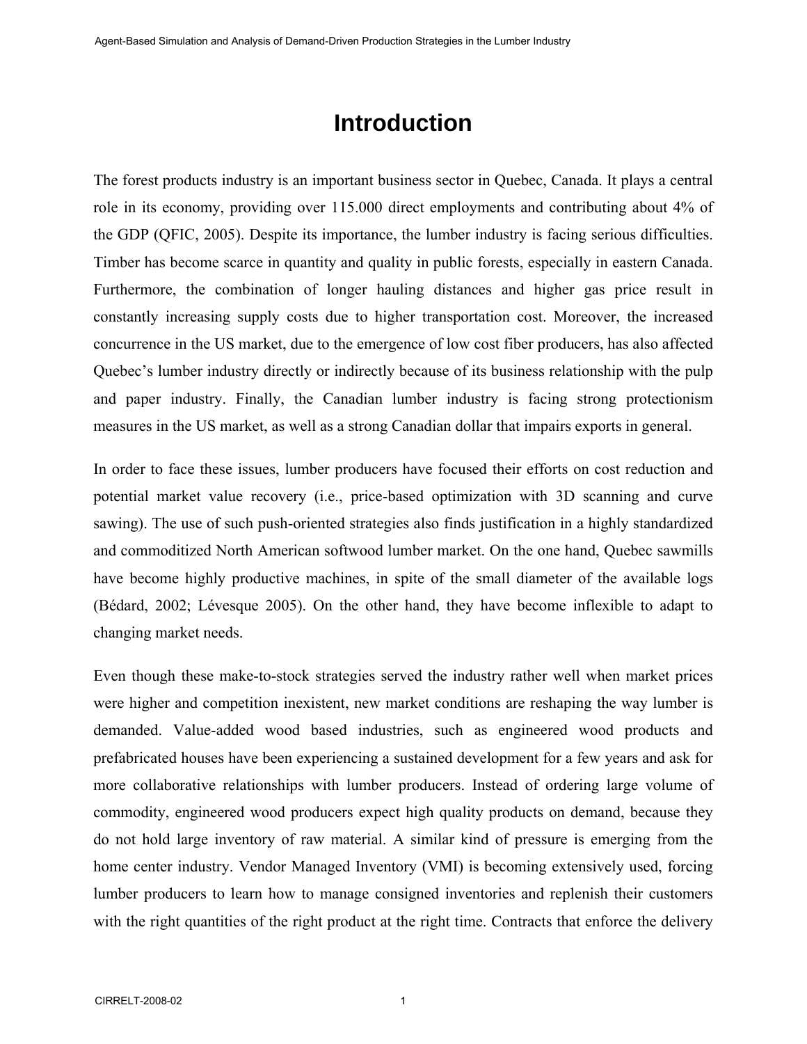# **Introduction**

The forest products industry is an important business sector in Quebec, Canada. It plays a central role in its economy, providing over 115.000 direct employments and contributing about 4% of the GDP (QFIC, 2005). Despite its importance, the lumber industry is facing serious difficulties. Timber has become scarce in quantity and quality in public forests, especially in eastern Canada. Furthermore, the combination of longer hauling distances and higher gas price result in constantly increasing supply costs due to higher transportation cost. Moreover, the increased concurrence in the US market, due to the emergence of low cost fiber producers, has also affected Quebec's lumber industry directly or indirectly because of its business relationship with the pulp and paper industry. Finally, the Canadian lumber industry is facing strong protectionism measures in the US market, as well as a strong Canadian dollar that impairs exports in general.

In order to face these issues, lumber producers have focused their efforts on cost reduction and potential market value recovery (i.e., price-based optimization with 3D scanning and curve sawing). The use of such push-oriented strategies also finds justification in a highly standardized and commoditized North American softwood lumber market. On the one hand, Quebec sawmills have become highly productive machines, in spite of the small diameter of the available logs (Bédard, 2002; Lévesque 2005). On the other hand, they have become inflexible to adapt to changing market needs.

Even though these make-to-stock strategies served the industry rather well when market prices were higher and competition inexistent, new market conditions are reshaping the way lumber is demanded. Value-added wood based industries, such as engineered wood products and prefabricated houses have been experiencing a sustained development for a few years and ask for more collaborative relationships with lumber producers. Instead of ordering large volume of commodity, engineered wood producers expect high quality products on demand, because they do not hold large inventory of raw material. A similar kind of pressure is emerging from the home center industry. Vendor Managed Inventory (VMI) is becoming extensively used, forcing lumber producers to learn how to manage consigned inventories and replenish their customers with the right quantities of the right product at the right time. Contracts that enforce the delivery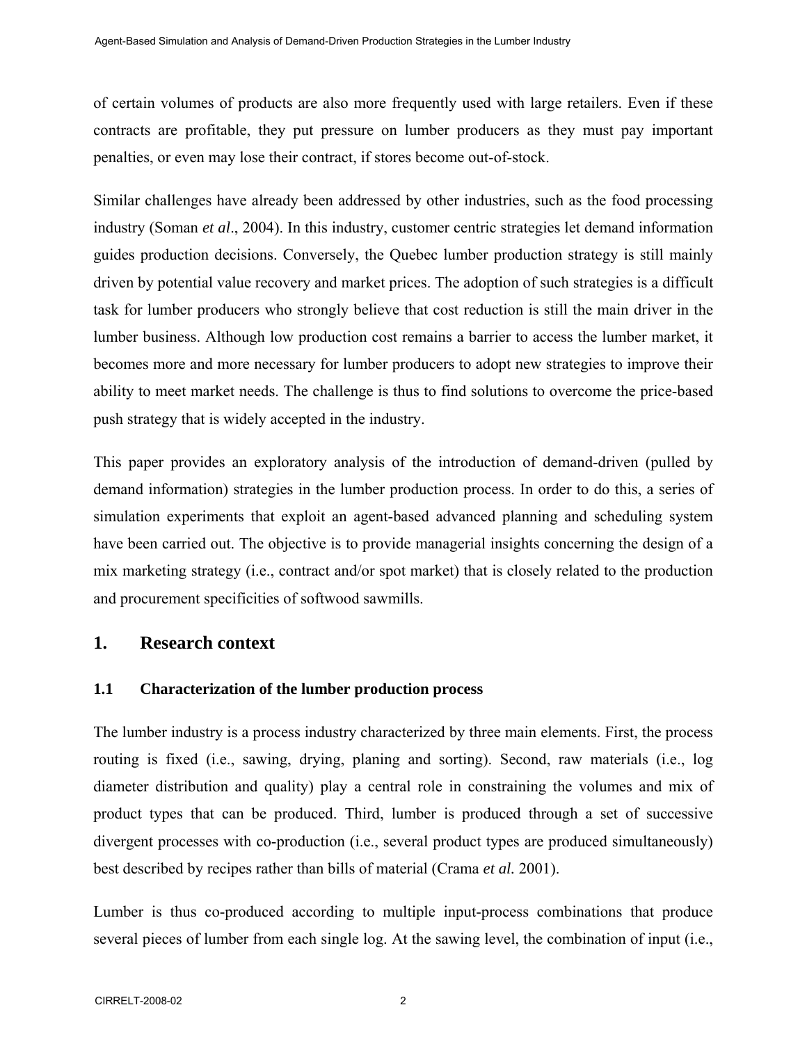of certain volumes of products are also more frequently used with large retailers. Even if these contracts are profitable, they put pressure on lumber producers as they must pay important penalties, or even may lose their contract, if stores become out-of-stock.

Similar challenges have already been addressed by other industries, such as the food processing industry (Soman *et al*., 2004). In this industry, customer centric strategies let demand information guides production decisions. Conversely, the Quebec lumber production strategy is still mainly driven by potential value recovery and market prices. The adoption of such strategies is a difficult task for lumber producers who strongly believe that cost reduction is still the main driver in the lumber business. Although low production cost remains a barrier to access the lumber market, it becomes more and more necessary for lumber producers to adopt new strategies to improve their ability to meet market needs. The challenge is thus to find solutions to overcome the price-based push strategy that is widely accepted in the industry.

This paper provides an exploratory analysis of the introduction of demand-driven (pulled by demand information) strategies in the lumber production process. In order to do this, a series of simulation experiments that exploit an agent-based advanced planning and scheduling system have been carried out. The objective is to provide managerial insights concerning the design of a mix marketing strategy (i.e., contract and/or spot market) that is closely related to the production and procurement specificities of softwood sawmills.

# **1. Research context**

## **1.1 Characterization of the lumber production process**

The lumber industry is a process industry characterized by three main elements. First, the process routing is fixed (i.e., sawing, drying, planing and sorting). Second, raw materials (i.e., log diameter distribution and quality) play a central role in constraining the volumes and mix of product types that can be produced. Third, lumber is produced through a set of successive divergent processes with co-production (i.e., several product types are produced simultaneously) best described by recipes rather than bills of material (Crama *et al.* 2001).

Lumber is thus co-produced according to multiple input-process combinations that produce several pieces of lumber from each single log. At the sawing level, the combination of input (i.e.,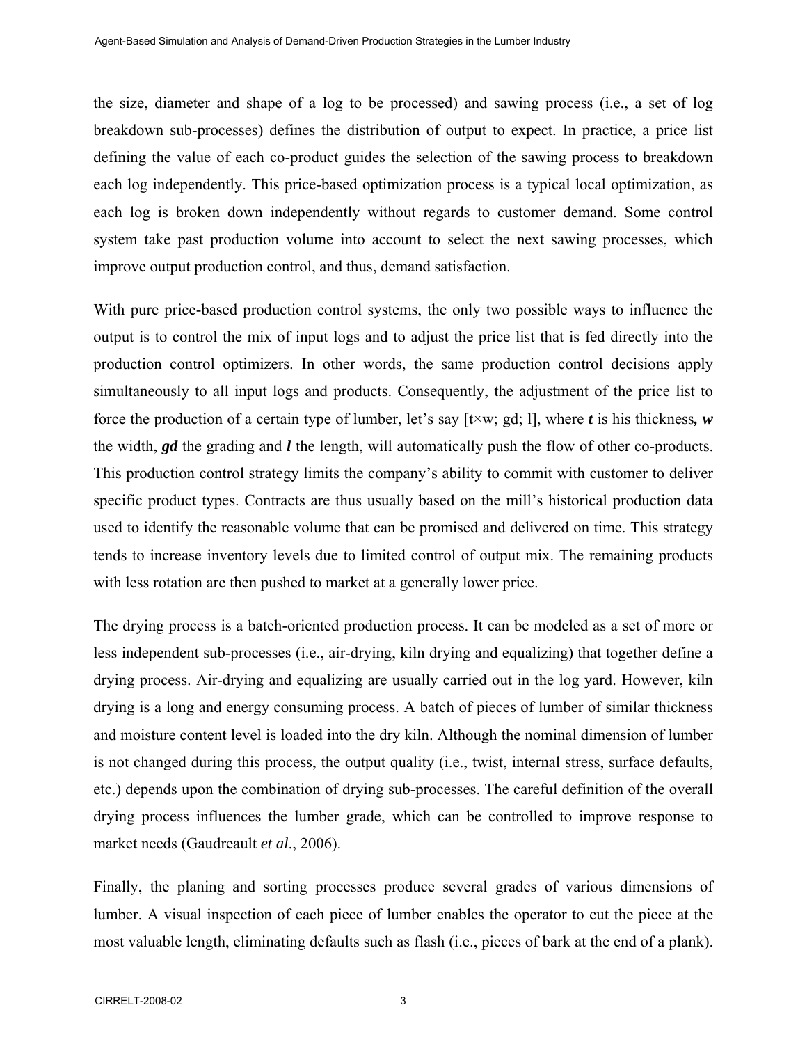the size, diameter and shape of a log to be processed) and sawing process (i.e., a set of log breakdown sub-processes) defines the distribution of output to expect. In practice, a price list defining the value of each co-product guides the selection of the sawing process to breakdown each log independently. This price-based optimization process is a typical local optimization, as each log is broken down independently without regards to customer demand. Some control system take past production volume into account to select the next sawing processes, which improve output production control, and thus, demand satisfaction.

With pure price-based production control systems, the only two possible ways to influence the output is to control the mix of input logs and to adjust the price list that is fed directly into the production control optimizers. In other words, the same production control decisions apply simultaneously to all input logs and products. Consequently, the adjustment of the price list to force the production of a certain type of lumber, let's say [t×w; gd; l], where *t* is his thickness*, w*  the width, *gd* the grading and *l* the length, will automatically push the flow of other co-products. This production control strategy limits the company's ability to commit with customer to deliver specific product types. Contracts are thus usually based on the mill's historical production data used to identify the reasonable volume that can be promised and delivered on time. This strategy tends to increase inventory levels due to limited control of output mix. The remaining products with less rotation are then pushed to market at a generally lower price.

The drying process is a batch-oriented production process. It can be modeled as a set of more or less independent sub-processes (i.e., air-drying, kiln drying and equalizing) that together define a drying process. Air-drying and equalizing are usually carried out in the log yard. However, kiln drying is a long and energy consuming process. A batch of pieces of lumber of similar thickness and moisture content level is loaded into the dry kiln. Although the nominal dimension of lumber is not changed during this process, the output quality (i.e., twist, internal stress, surface defaults, etc.) depends upon the combination of drying sub-processes. The careful definition of the overall drying process influences the lumber grade, which can be controlled to improve response to market needs (Gaudreault *et al*., 2006).

Finally, the planing and sorting processes produce several grades of various dimensions of lumber. A visual inspection of each piece of lumber enables the operator to cut the piece at the most valuable length, eliminating defaults such as flash (i.e., pieces of bark at the end of a plank).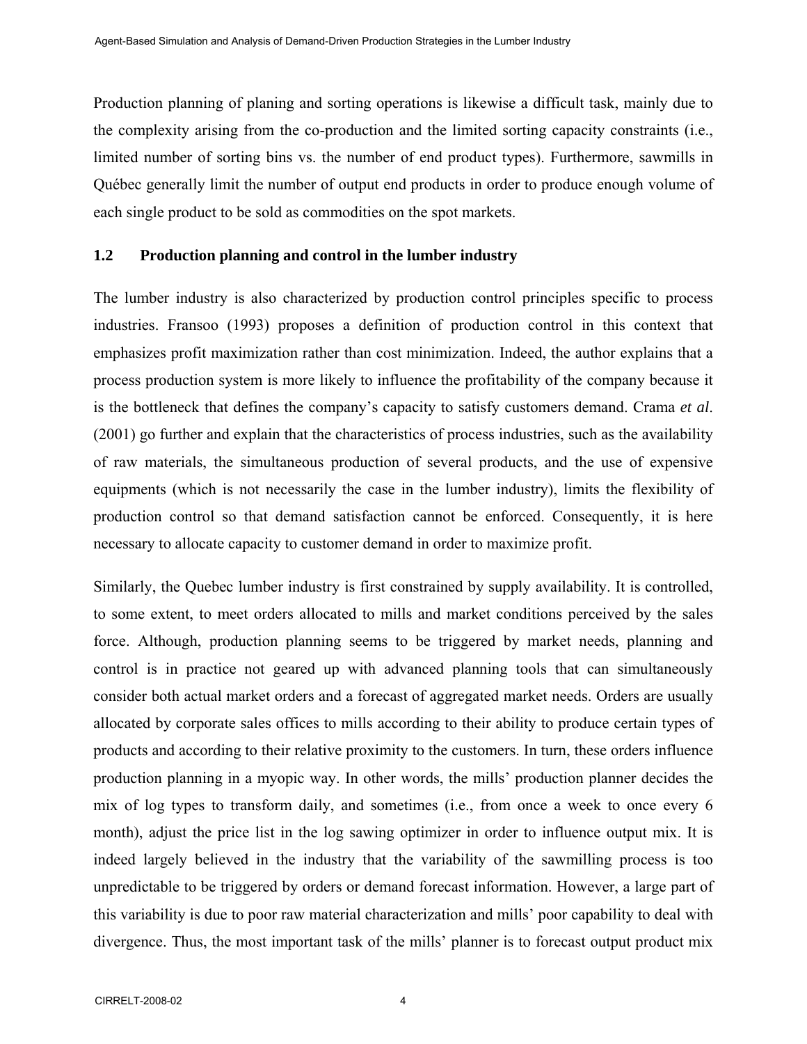Production planning of planing and sorting operations is likewise a difficult task, mainly due to the complexity arising from the co-production and the limited sorting capacity constraints (i.e., limited number of sorting bins vs. the number of end product types). Furthermore, sawmills in Québec generally limit the number of output end products in order to produce enough volume of each single product to be sold as commodities on the spot markets.

#### **1.2 Production planning and control in the lumber industry**

The lumber industry is also characterized by production control principles specific to process industries. Fransoo (1993) proposes a definition of production control in this context that emphasizes profit maximization rather than cost minimization. Indeed, the author explains that a process production system is more likely to influence the profitability of the company because it is the bottleneck that defines the company's capacity to satisfy customers demand. Crama *et al*. (2001) go further and explain that the characteristics of process industries, such as the availability of raw materials, the simultaneous production of several products, and the use of expensive equipments (which is not necessarily the case in the lumber industry), limits the flexibility of production control so that demand satisfaction cannot be enforced. Consequently, it is here necessary to allocate capacity to customer demand in order to maximize profit.

Similarly, the Quebec lumber industry is first constrained by supply availability. It is controlled, to some extent, to meet orders allocated to mills and market conditions perceived by the sales force. Although, production planning seems to be triggered by market needs, planning and control is in practice not geared up with advanced planning tools that can simultaneously consider both actual market orders and a forecast of aggregated market needs. Orders are usually allocated by corporate sales offices to mills according to their ability to produce certain types of products and according to their relative proximity to the customers. In turn, these orders influence production planning in a myopic way. In other words, the mills' production planner decides the mix of log types to transform daily, and sometimes (i.e., from once a week to once every 6 month), adjust the price list in the log sawing optimizer in order to influence output mix. It is indeed largely believed in the industry that the variability of the sawmilling process is too unpredictable to be triggered by orders or demand forecast information. However, a large part of this variability is due to poor raw material characterization and mills' poor capability to deal with divergence. Thus, the most important task of the mills' planner is to forecast output product mix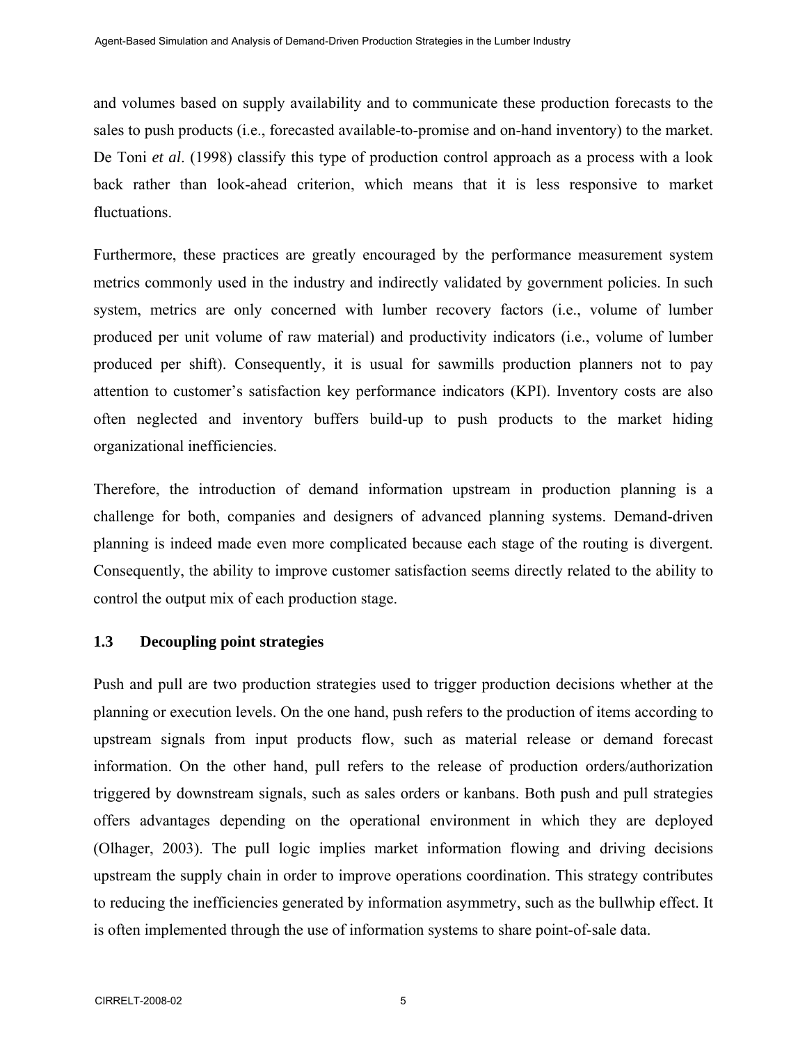and volumes based on supply availability and to communicate these production forecasts to the sales to push products (i.e., forecasted available-to-promise and on-hand inventory) to the market. De Toni *et al*. (1998) classify this type of production control approach as a process with a look back rather than look-ahead criterion, which means that it is less responsive to market fluctuations.

Furthermore, these practices are greatly encouraged by the performance measurement system metrics commonly used in the industry and indirectly validated by government policies. In such system, metrics are only concerned with lumber recovery factors (i.e., volume of lumber produced per unit volume of raw material) and productivity indicators (i.e., volume of lumber produced per shift). Consequently, it is usual for sawmills production planners not to pay attention to customer's satisfaction key performance indicators (KPI). Inventory costs are also often neglected and inventory buffers build-up to push products to the market hiding organizational inefficiencies.

Therefore, the introduction of demand information upstream in production planning is a challenge for both, companies and designers of advanced planning systems. Demand-driven planning is indeed made even more complicated because each stage of the routing is divergent. Consequently, the ability to improve customer satisfaction seems directly related to the ability to control the output mix of each production stage.

## **1.3 Decoupling point strategies**

Push and pull are two production strategies used to trigger production decisions whether at the planning or execution levels. On the one hand, push refers to the production of items according to upstream signals from input products flow, such as material release or demand forecast information. On the other hand, pull refers to the release of production orders/authorization triggered by downstream signals, such as sales orders or kanbans. Both push and pull strategies offers advantages depending on the operational environment in which they are deployed (Olhager, 2003). The pull logic implies market information flowing and driving decisions upstream the supply chain in order to improve operations coordination. This strategy contributes to reducing the inefficiencies generated by information asymmetry, such as the bullwhip effect. It is often implemented through the use of information systems to share point-of-sale data.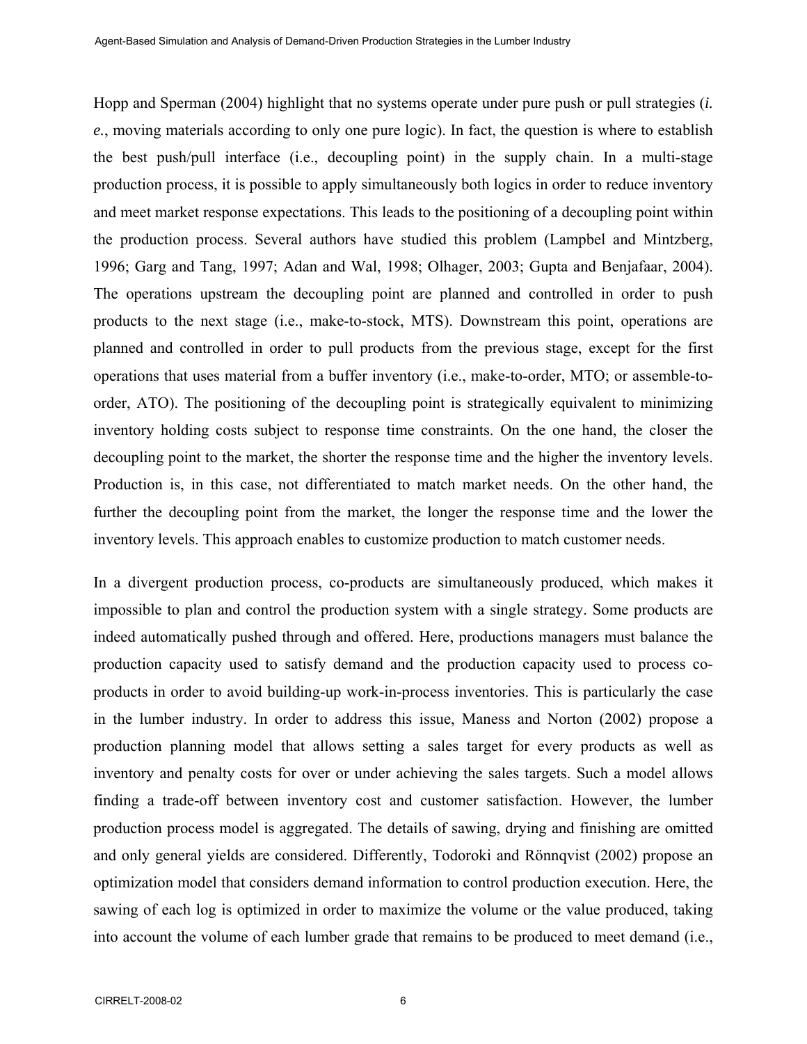Hopp and Sperman (2004) highlight that no systems operate under pure push or pull strategies (*i. e.*, moving materials according to only one pure logic). In fact, the question is where to establish the best push/pull interface (i.e., decoupling point) in the supply chain. In a multi-stage production process, it is possible to apply simultaneously both logics in order to reduce inventory and meet market response expectations. This leads to the positioning of a decoupling point within the production process. Several authors have studied this problem (Lampbel and Mintzberg, 1996; Garg and Tang, 1997; Adan and Wal, 1998; Olhager, 2003; Gupta and Benjafaar, 2004). The operations upstream the decoupling point are planned and controlled in order to push products to the next stage (i.e., make-to-stock, MTS). Downstream this point, operations are planned and controlled in order to pull products from the previous stage, except for the first operations that uses material from a buffer inventory (i.e., make-to-order, MTO; or assemble-toorder, ATO). The positioning of the decoupling point is strategically equivalent to minimizing inventory holding costs subject to response time constraints. On the one hand, the closer the decoupling point to the market, the shorter the response time and the higher the inventory levels. Production is, in this case, not differentiated to match market needs. On the other hand, the further the decoupling point from the market, the longer the response time and the lower the inventory levels. This approach enables to customize production to match customer needs.

In a divergent production process, co-products are simultaneously produced, which makes it impossible to plan and control the production system with a single strategy. Some products are indeed automatically pushed through and offered. Here, productions managers must balance the production capacity used to satisfy demand and the production capacity used to process coproducts in order to avoid building-up work-in-process inventories. This is particularly the case in the lumber industry. In order to address this issue, Maness and Norton (2002) propose a production planning model that allows setting a sales target for every products as well as inventory and penalty costs for over or under achieving the sales targets. Such a model allows finding a trade-off between inventory cost and customer satisfaction. However, the lumber production process model is aggregated. The details of sawing, drying and finishing are omitted and only general yields are considered. Differently, Todoroki and Rönnqvist (2002) propose an optimization model that considers demand information to control production execution. Here, the sawing of each log is optimized in order to maximize the volume or the value produced, taking into account the volume of each lumber grade that remains to be produced to meet demand (i.e.,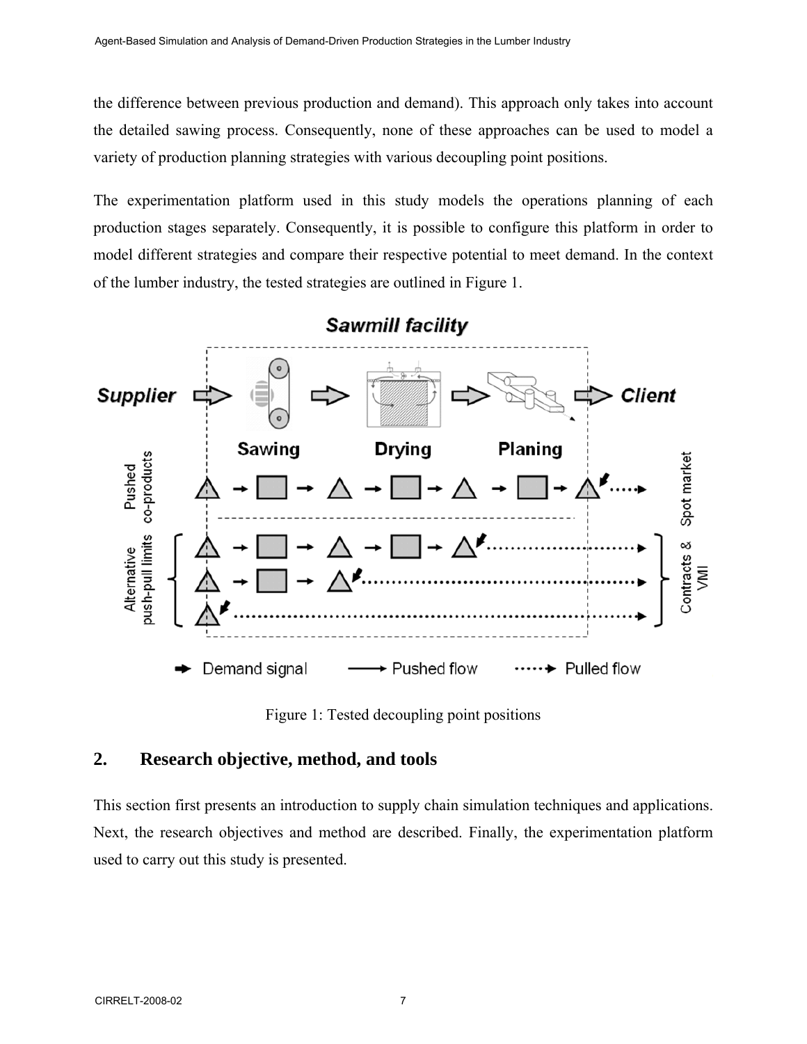the difference between previous production and demand). This approach only takes into account the detailed sawing process. Consequently, none of these approaches can be used to model a variety of production planning strategies with various decoupling point positions.

The experimentation platform used in this study models the operations planning of each production stages separately. Consequently, it is possible to configure this platform in order to model different strategies and compare their respective potential to meet demand. In the context of the lumber industry, the tested strategies are outlined in Figure 1.



Figure 1: Tested decoupling point positions

# **2. Research objective, method, and tools**

This section first presents an introduction to supply chain simulation techniques and applications. Next, the research objectives and method are described. Finally, the experimentation platform used to carry out this study is presented.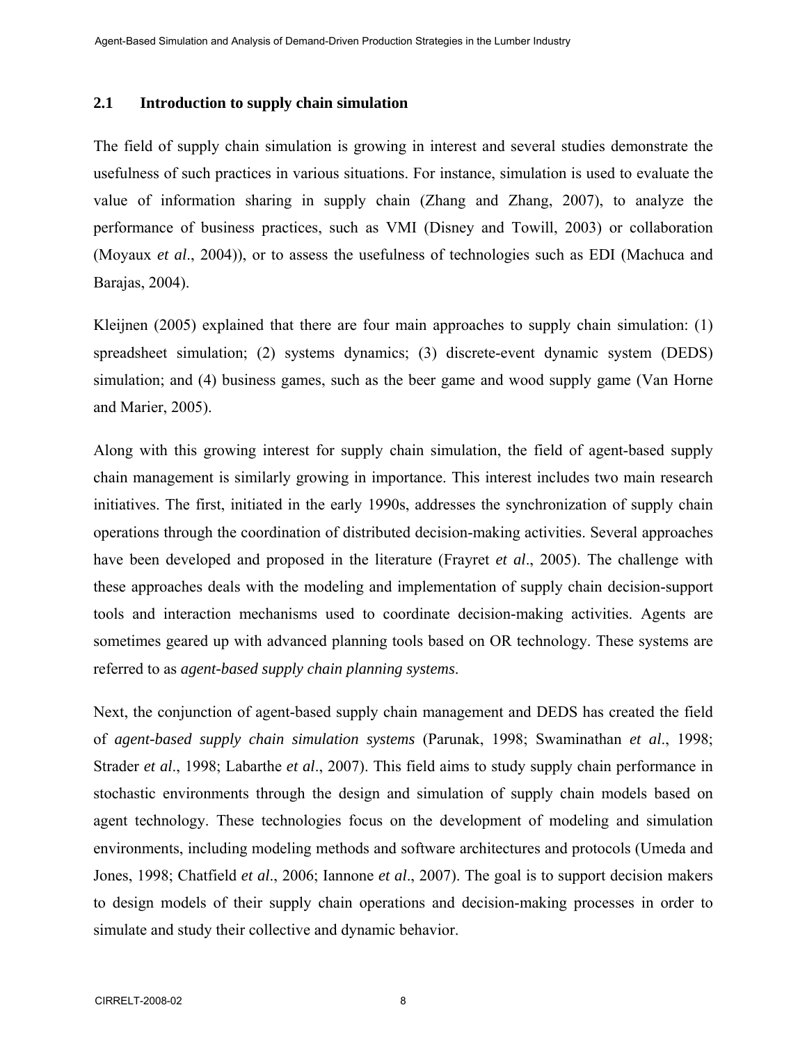#### **2.1 Introduction to supply chain simulation**

The field of supply chain simulation is growing in interest and several studies demonstrate the usefulness of such practices in various situations. For instance, simulation is used to evaluate the value of information sharing in supply chain (Zhang and Zhang, 2007), to analyze the performance of business practices, such as VMI (Disney and Towill, 2003) or collaboration (Moyaux *et al*., 2004)), or to assess the usefulness of technologies such as EDI (Machuca and Barajas, 2004).

Kleijnen (2005) explained that there are four main approaches to supply chain simulation: (1) spreadsheet simulation; (2) systems dynamics; (3) discrete-event dynamic system (DEDS) simulation; and (4) business games, such as the beer game and wood supply game (Van Horne and Marier, 2005).

Along with this growing interest for supply chain simulation, the field of agent-based supply chain management is similarly growing in importance. This interest includes two main research initiatives. The first, initiated in the early 1990s, addresses the synchronization of supply chain operations through the coordination of distributed decision-making activities. Several approaches have been developed and proposed in the literature (Frayret *et al*., 2005). The challenge with these approaches deals with the modeling and implementation of supply chain decision-support tools and interaction mechanisms used to coordinate decision-making activities. Agents are sometimes geared up with advanced planning tools based on OR technology. These systems are referred to as *agent-based supply chain planning systems*.

Next, the conjunction of agent-based supply chain management and DEDS has created the field of *agent-based supply chain simulation systems* (Parunak, 1998; Swaminathan *et al*., 1998; Strader *et al*., 1998; Labarthe *et al*., 2007). This field aims to study supply chain performance in stochastic environments through the design and simulation of supply chain models based on agent technology. These technologies focus on the development of modeling and simulation environments, including modeling methods and software architectures and protocols (Umeda and Jones, 1998; Chatfield *et al*., 2006; Iannone *et al*., 2007). The goal is to support decision makers to design models of their supply chain operations and decision-making processes in order to simulate and study their collective and dynamic behavior.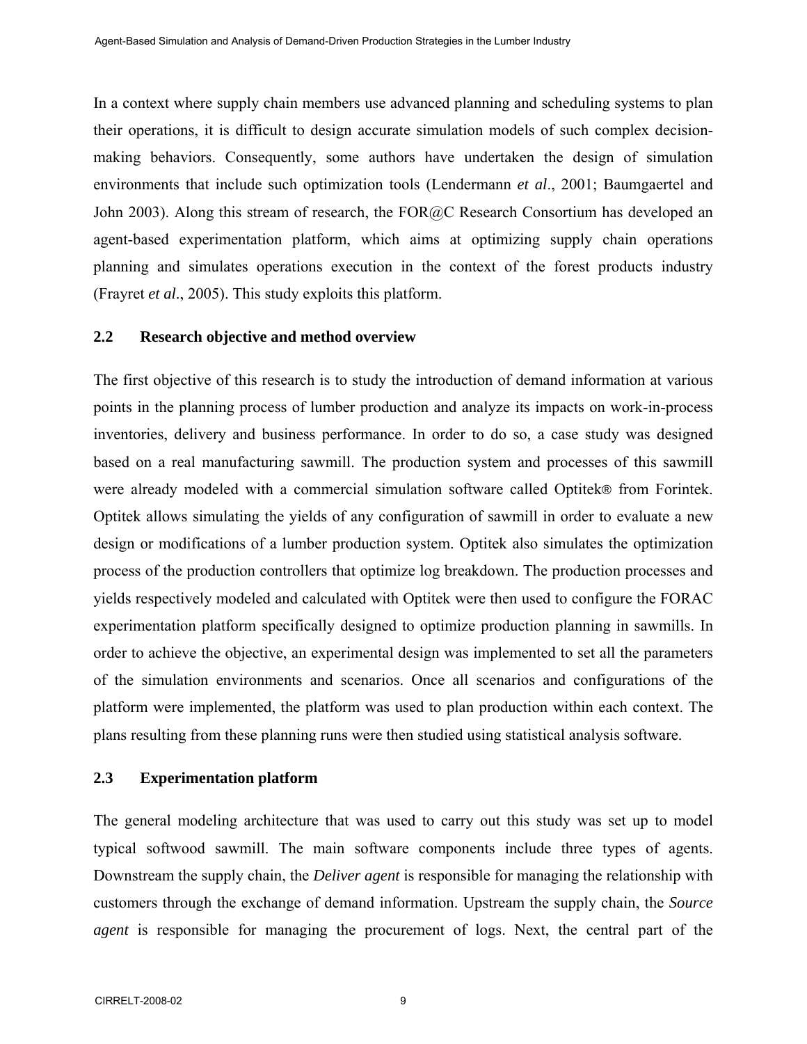In a context where supply chain members use advanced planning and scheduling systems to plan their operations, it is difficult to design accurate simulation models of such complex decisionmaking behaviors. Consequently, some authors have undertaken the design of simulation environments that include such optimization tools (Lendermann *et al*., 2001; Baumgaertel and John 2003). Along this stream of research, the FOR@C Research Consortium has developed an agent-based experimentation platform, which aims at optimizing supply chain operations planning and simulates operations execution in the context of the forest products industry (Frayret *et al*., 2005). This study exploits this platform.

#### **2.2 Research objective and method overview**

The first objective of this research is to study the introduction of demand information at various points in the planning process of lumber production and analyze its impacts on work-in-process inventories, delivery and business performance. In order to do so, a case study was designed based on a real manufacturing sawmill. The production system and processes of this sawmill were already modeled with a commercial simulation software called Optitek® from Forintek. Optitek allows simulating the yields of any configuration of sawmill in order to evaluate a new design or modifications of a lumber production system. Optitek also simulates the optimization process of the production controllers that optimize log breakdown. The production processes and yields respectively modeled and calculated with Optitek were then used to configure the FORAC experimentation platform specifically designed to optimize production planning in sawmills. In order to achieve the objective, an experimental design was implemented to set all the parameters of the simulation environments and scenarios. Once all scenarios and configurations of the platform were implemented, the platform was used to plan production within each context. The plans resulting from these planning runs were then studied using statistical analysis software.

#### **2.3 Experimentation platform**

The general modeling architecture that was used to carry out this study was set up to model typical softwood sawmill. The main software components include three types of agents. Downstream the supply chain, the *Deliver agent* is responsible for managing the relationship with customers through the exchange of demand information. Upstream the supply chain, the *Source agent* is responsible for managing the procurement of logs. Next, the central part of the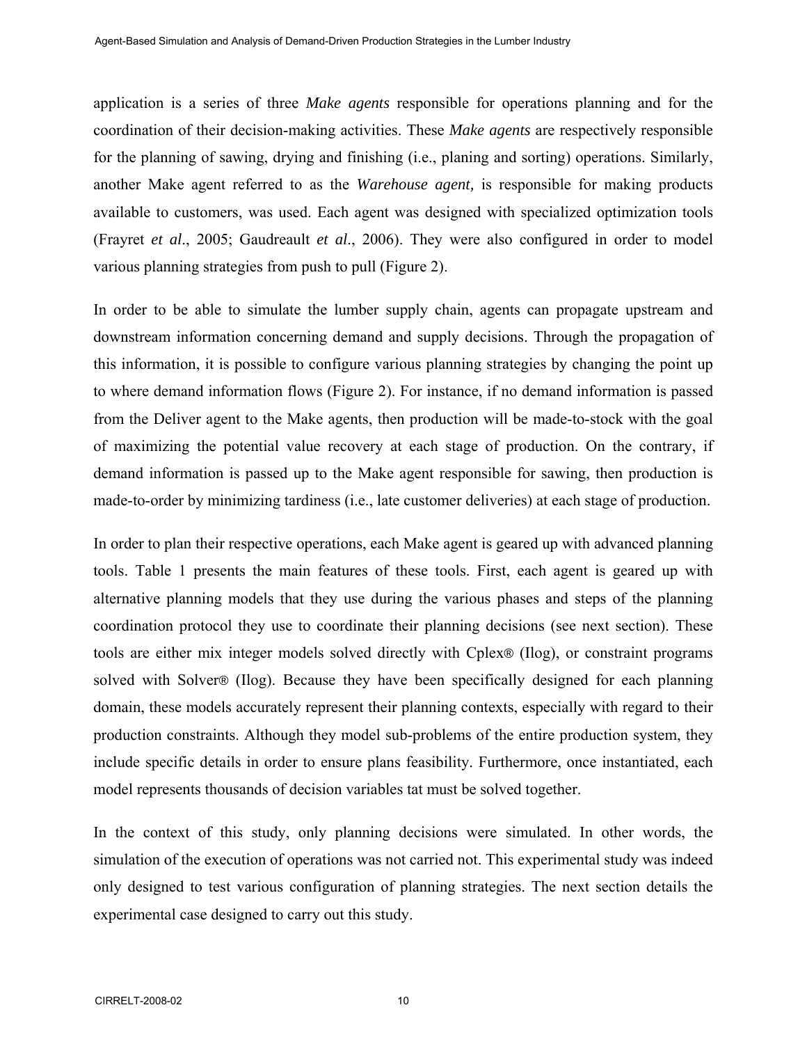application is a series of three *Make agents* responsible for operations planning and for the coordination of their decision-making activities. These *Make agents* are respectively responsible for the planning of sawing, drying and finishing (i.e., planing and sorting) operations. Similarly, another Make agent referred to as the *Warehouse agent,* is responsible for making products available to customers, was used. Each agent was designed with specialized optimization tools (Frayret *et al*., 2005; Gaudreault *et al*., 2006). They were also configured in order to model various planning strategies from push to pull (Figure 2).

In order to be able to simulate the lumber supply chain, agents can propagate upstream and downstream information concerning demand and supply decisions. Through the propagation of this information, it is possible to configure various planning strategies by changing the point up to where demand information flows (Figure 2). For instance, if no demand information is passed from the Deliver agent to the Make agents, then production will be made-to-stock with the goal of maximizing the potential value recovery at each stage of production. On the contrary, if demand information is passed up to the Make agent responsible for sawing, then production is made-to-order by minimizing tardiness (i.e., late customer deliveries) at each stage of production.

In order to plan their respective operations, each Make agent is geared up with advanced planning tools. Table 1 presents the main features of these tools. First, each agent is geared up with alternative planning models that they use during the various phases and steps of the planning coordination protocol they use to coordinate their planning decisions (see next section). These tools are either mix integer models solved directly with Cplex® (Ilog), or constraint programs solved with Solver® (Ilog). Because they have been specifically designed for each planning domain, these models accurately represent their planning contexts, especially with regard to their production constraints. Although they model sub-problems of the entire production system, they include specific details in order to ensure plans feasibility. Furthermore, once instantiated, each model represents thousands of decision variables tat must be solved together.

In the context of this study, only planning decisions were simulated. In other words, the simulation of the execution of operations was not carried not. This experimental study was indeed only designed to test various configuration of planning strategies. The next section details the experimental case designed to carry out this study.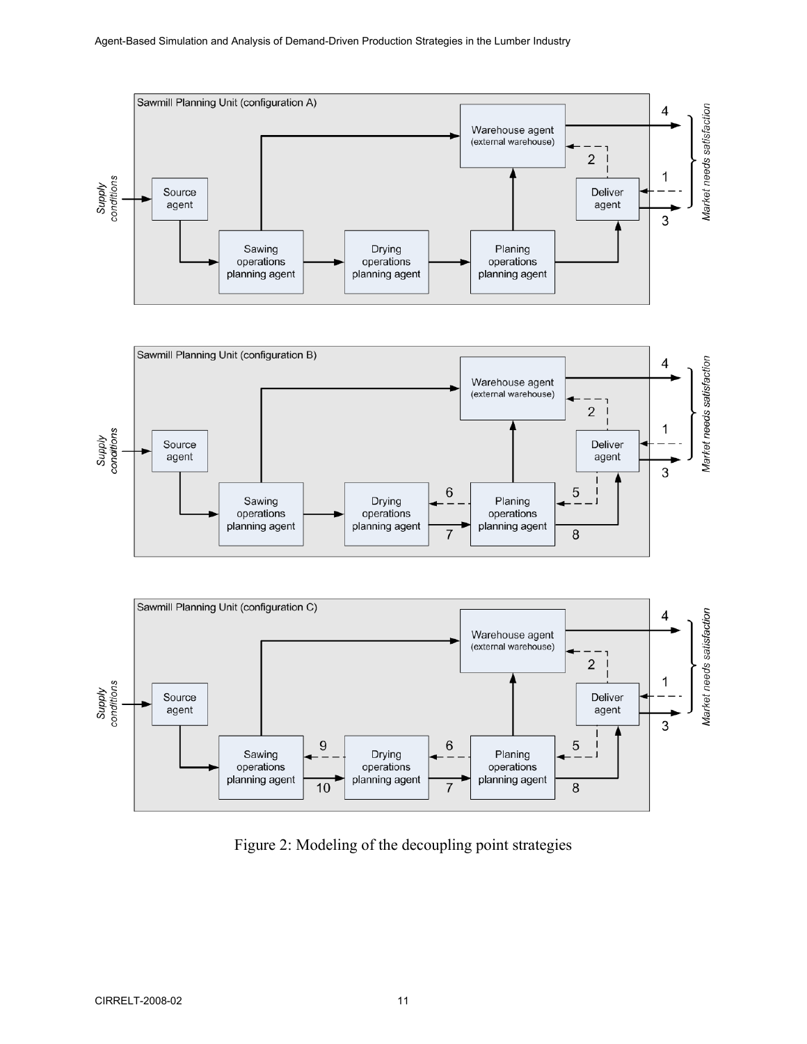





Figure 2: Modeling of the decoupling point strategies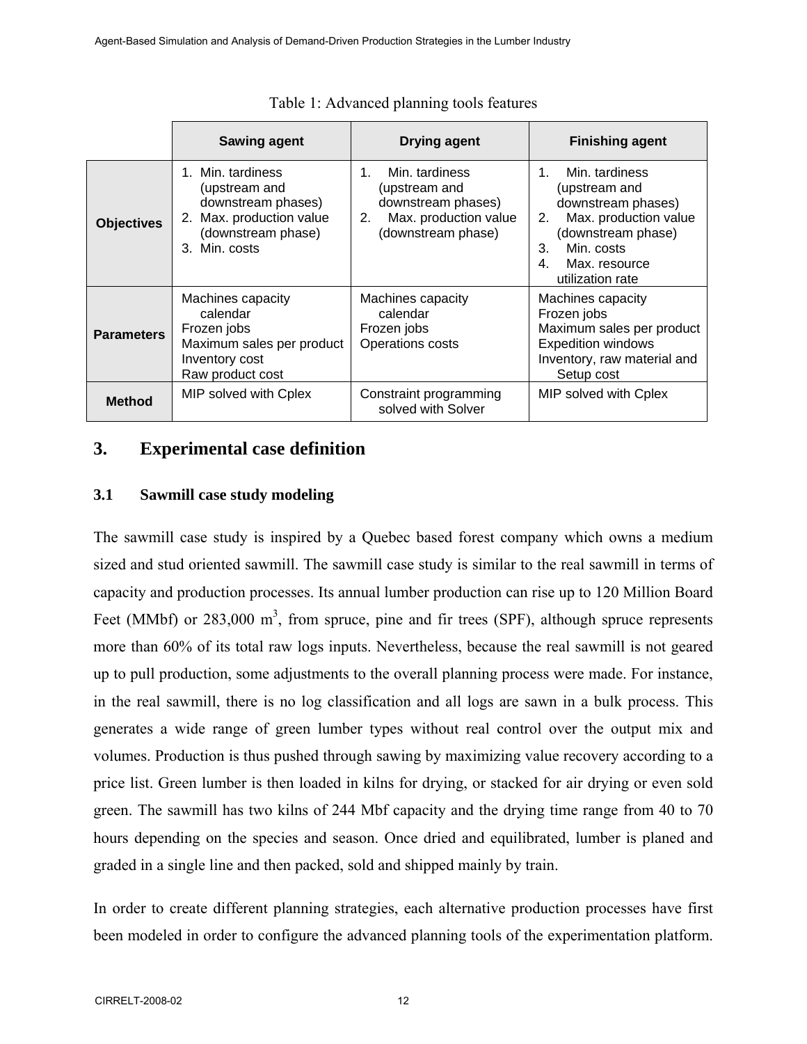|                   | <b>Sawing agent</b>                                                                                                         | <b>Drying agent</b>                                                                                                   | <b>Finishing agent</b>                                                                                                                                                               |
|-------------------|-----------------------------------------------------------------------------------------------------------------------------|-----------------------------------------------------------------------------------------------------------------------|--------------------------------------------------------------------------------------------------------------------------------------------------------------------------------------|
| <b>Objectives</b> | 1. Min. tardiness<br>(upstream and<br>downstream phases)<br>2. Max. production value<br>(downstream phase)<br>3. Min. costs | Min. tardiness<br>$1_{-}$<br>(upstream and<br>downstream phases)<br>Max. production value<br>2.<br>(downstream phase) | Min. tardiness<br>$1_{-}$<br>(upstream and<br>downstream phases)<br>Max. production value<br>2.<br>(downstream phase)<br>Min. costs<br>3.<br>4.<br>Max. resource<br>utilization rate |
| <b>Parameters</b> | Machines capacity<br>calendar<br>Frozen jobs<br>Maximum sales per product<br>Inventory cost<br>Raw product cost             | Machines capacity<br>calendar<br>Frozen jobs<br>Operations costs                                                      | Machines capacity<br>Frozen jobs<br>Maximum sales per product<br><b>Expedition windows</b><br>Inventory, raw material and<br>Setup cost                                              |
| <b>Method</b>     | MIP solved with Cplex                                                                                                       | Constraint programming<br>solved with Solver                                                                          | MIP solved with Cplex                                                                                                                                                                |

Table 1: Advanced planning tools features

# **3. Experimental case definition**

### **3.1 Sawmill case study modeling**

The sawmill case study is inspired by a Quebec based forest company which owns a medium sized and stud oriented sawmill. The sawmill case study is similar to the real sawmill in terms of capacity and production processes. Its annual lumber production can rise up to 120 Million Board Feet (MMbf) or 283,000  $m^3$ , from spruce, pine and fir trees (SPF), although spruce represents more than 60% of its total raw logs inputs. Nevertheless, because the real sawmill is not geared up to pull production, some adjustments to the overall planning process were made. For instance, in the real sawmill, there is no log classification and all logs are sawn in a bulk process. This generates a wide range of green lumber types without real control over the output mix and volumes. Production is thus pushed through sawing by maximizing value recovery according to a price list. Green lumber is then loaded in kilns for drying, or stacked for air drying or even sold green. The sawmill has two kilns of 244 Mbf capacity and the drying time range from 40 to 70 hours depending on the species and season. Once dried and equilibrated, lumber is planed and graded in a single line and then packed, sold and shipped mainly by train.

In order to create different planning strategies, each alternative production processes have first been modeled in order to configure the advanced planning tools of the experimentation platform.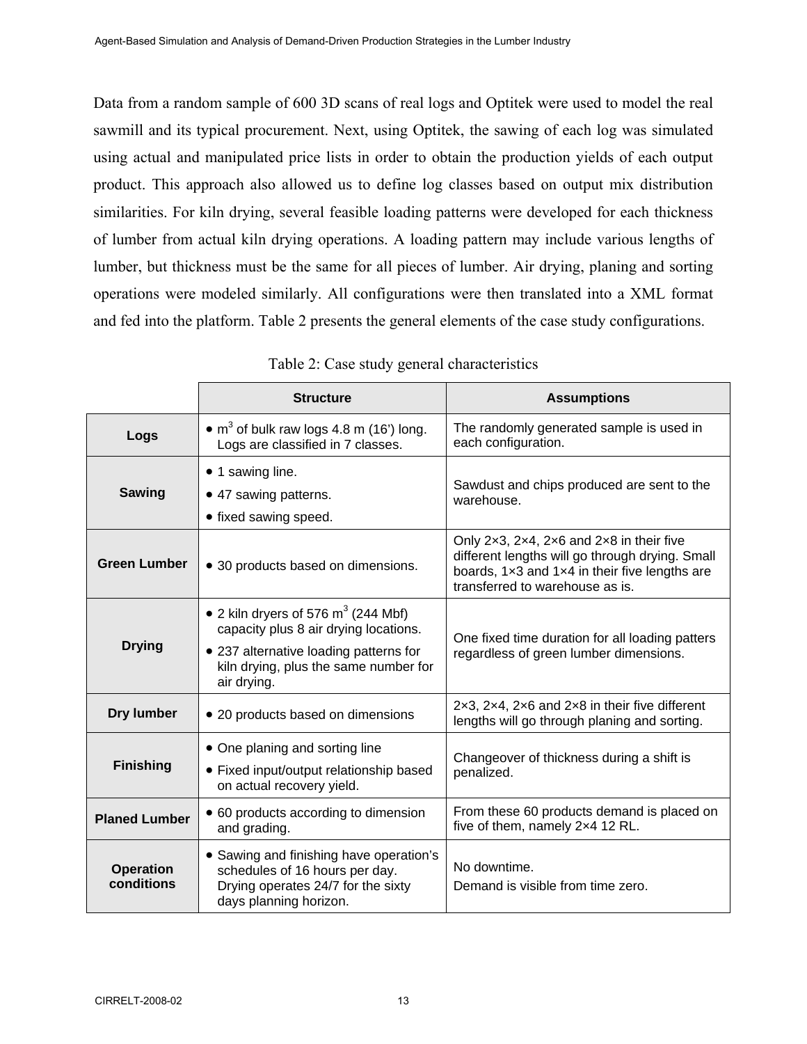Data from a random sample of 600 3D scans of real logs and Optitek were used to model the real sawmill and its typical procurement. Next, using Optitek, the sawing of each log was simulated using actual and manipulated price lists in order to obtain the production yields of each output product. This approach also allowed us to define log classes based on output mix distribution similarities. For kiln drying, several feasible loading patterns were developed for each thickness of lumber from actual kiln drying operations. A loading pattern may include various lengths of lumber, but thickness must be the same for all pieces of lumber. Air drying, planing and sorting operations were modeled similarly. All configurations were then translated into a XML format and fed into the platform. Table 2 presents the general elements of the case study configurations.

|                                | <b>Structure</b>                                                                                                                                                                  | <b>Assumptions</b>                                                                                                                                                                                |
|--------------------------------|-----------------------------------------------------------------------------------------------------------------------------------------------------------------------------------|---------------------------------------------------------------------------------------------------------------------------------------------------------------------------------------------------|
| Logs                           | • $m3$ of bulk raw logs 4.8 m (16') long.<br>Logs are classified in 7 classes.                                                                                                    | The randomly generated sample is used in<br>each configuration.                                                                                                                                   |
| Sawing                         | • 1 sawing line.<br>• 47 sawing patterns.<br>• fixed sawing speed.                                                                                                                | Sawdust and chips produced are sent to the<br>warehouse.                                                                                                                                          |
| <b>Green Lumber</b>            | • 30 products based on dimensions.                                                                                                                                                | Only 2x3, 2x4, 2x6 and 2x8 in their five<br>different lengths will go through drying. Small<br>boards, $1 \times 3$ and $1 \times 4$ in their five lengths are<br>transferred to warehouse as is. |
| <b>Drying</b>                  | • 2 kiln dryers of 576 $m^3$ (244 Mbf)<br>capacity plus 8 air drying locations.<br>• 237 alternative loading patterns for<br>kiln drying, plus the same number for<br>air drying. | One fixed time duration for all loading patters<br>regardless of green lumber dimensions.                                                                                                         |
| <b>Dry lumber</b>              | • 20 products based on dimensions                                                                                                                                                 | $2\times3$ , $2\times4$ , $2\times6$ and $2\times8$ in their five different<br>lengths will go through planing and sorting.                                                                       |
| <b>Finishing</b>               | • One planing and sorting line<br>• Fixed input/output relationship based<br>on actual recovery yield.                                                                            | Changeover of thickness during a shift is<br>penalized.                                                                                                                                           |
| <b>Planed Lumber</b>           | • 60 products according to dimension<br>and grading.                                                                                                                              | From these 60 products demand is placed on<br>five of them, namely 2x4 12 RL.                                                                                                                     |
| <b>Operation</b><br>conditions | • Sawing and finishing have operation's<br>schedules of 16 hours per day.<br>Drying operates 24/7 for the sixty<br>days planning horizon.                                         | No downtime.<br>Demand is visible from time zero.                                                                                                                                                 |

|  | Table 2: Case study general characteristics |
|--|---------------------------------------------|
|--|---------------------------------------------|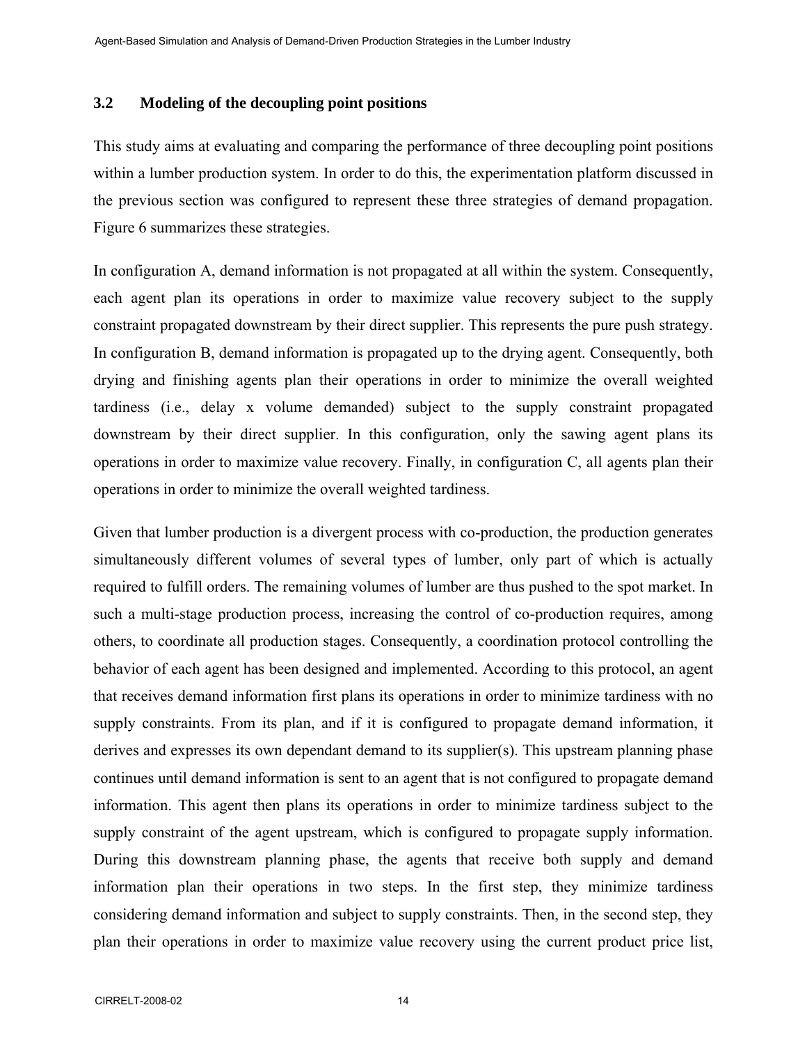#### **3.2 Modeling of the decoupling point positions**

This study aims at evaluating and comparing the performance of three decoupling point positions within a lumber production system. In order to do this, the experimentation platform discussed in the previous section was configured to represent these three strategies of demand propagation. Figure 6 summarizes these strategies.

In configuration A, demand information is not propagated at all within the system. Consequently, each agent plan its operations in order to maximize value recovery subject to the supply constraint propagated downstream by their direct supplier. This represents the pure push strategy. In configuration B, demand information is propagated up to the drying agent. Consequently, both drying and finishing agents plan their operations in order to minimize the overall weighted tardiness (i.e., delay x volume demanded) subject to the supply constraint propagated downstream by their direct supplier. In this configuration, only the sawing agent plans its operations in order to maximize value recovery. Finally, in configuration C, all agents plan their operations in order to minimize the overall weighted tardiness.

Given that lumber production is a divergent process with co-production, the production generates simultaneously different volumes of several types of lumber, only part of which is actually required to fulfill orders. The remaining volumes of lumber are thus pushed to the spot market. In such a multi-stage production process, increasing the control of co-production requires, among others, to coordinate all production stages. Consequently, a coordination protocol controlling the behavior of each agent has been designed and implemented. According to this protocol, an agent that receives demand information first plans its operations in order to minimize tardiness with no supply constraints. From its plan, and if it is configured to propagate demand information, it derives and expresses its own dependant demand to its supplier(s). This upstream planning phase continues until demand information is sent to an agent that is not configured to propagate demand information. This agent then plans its operations in order to minimize tardiness subject to the supply constraint of the agent upstream, which is configured to propagate supply information. During this downstream planning phase, the agents that receive both supply and demand information plan their operations in two steps. In the first step, they minimize tardiness considering demand information and subject to supply constraints. Then, in the second step, they plan their operations in order to maximize value recovery using the current product price list,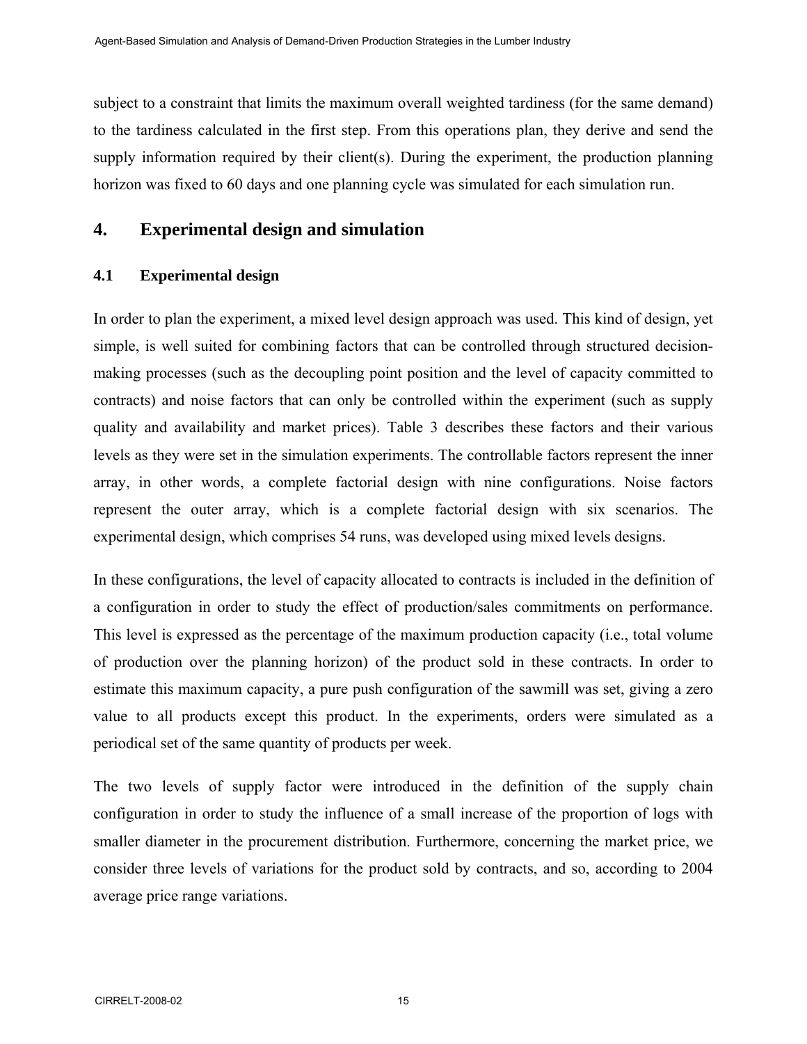subject to a constraint that limits the maximum overall weighted tardiness (for the same demand) to the tardiness calculated in the first step. From this operations plan, they derive and send the supply information required by their client(s). During the experiment, the production planning horizon was fixed to 60 days and one planning cycle was simulated for each simulation run.

# **4. Experimental design and simulation**

## **4.1 Experimental design**

In order to plan the experiment, a mixed level design approach was used. This kind of design, yet simple, is well suited for combining factors that can be controlled through structured decisionmaking processes (such as the decoupling point position and the level of capacity committed to contracts) and noise factors that can only be controlled within the experiment (such as supply quality and availability and market prices). Table 3 describes these factors and their various levels as they were set in the simulation experiments. The controllable factors represent the inner array, in other words, a complete factorial design with nine configurations. Noise factors represent the outer array, which is a complete factorial design with six scenarios. The experimental design, which comprises 54 runs, was developed using mixed levels designs.

In these configurations, the level of capacity allocated to contracts is included in the definition of a configuration in order to study the effect of production/sales commitments on performance. This level is expressed as the percentage of the maximum production capacity (i.e., total volume of production over the planning horizon) of the product sold in these contracts. In order to estimate this maximum capacity, a pure push configuration of the sawmill was set, giving a zero value to all products except this product. In the experiments, orders were simulated as a periodical set of the same quantity of products per week.

The two levels of supply factor were introduced in the definition of the supply chain configuration in order to study the influence of a small increase of the proportion of logs with smaller diameter in the procurement distribution. Furthermore, concerning the market price, we consider three levels of variations for the product sold by contracts, and so, according to 2004 average price range variations.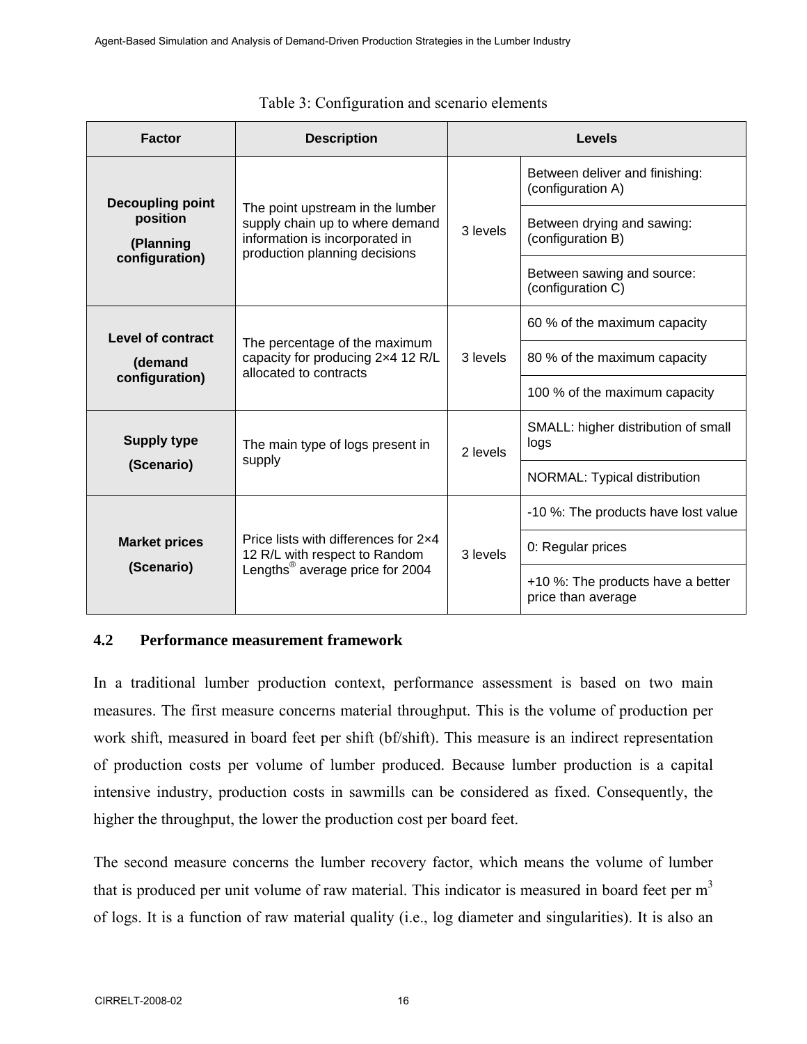| <b>Factor</b>                           | <b>Description</b>                                                                                                                     | <b>Levels</b> |                                                         |
|-----------------------------------------|----------------------------------------------------------------------------------------------------------------------------------------|---------------|---------------------------------------------------------|
| <b>Decoupling point</b>                 |                                                                                                                                        | 3 levels      | Between deliver and finishing:<br>(configuration A)     |
| position<br>(Planning<br>configuration) | The point upstream in the lumber<br>supply chain up to where demand<br>information is incorporated in<br>production planning decisions |               | Between drying and sawing:<br>(configuration B)         |
|                                         |                                                                                                                                        |               | Between sawing and source:<br>(configuration C)         |
| Level of contract                       | The percentage of the maximum<br>capacity for producing 2x4 12 R/L<br>allocated to contracts                                           | 3 levels      | 60 % of the maximum capacity                            |
| (demand<br>configuration)               |                                                                                                                                        |               | 80 % of the maximum capacity                            |
|                                         |                                                                                                                                        |               | 100 % of the maximum capacity                           |
| <b>Supply type</b>                      | The main type of logs present in                                                                                                       | 2 levels      | SMALL: higher distribution of small<br>logs             |
| (Scenario)                              | supply                                                                                                                                 |               | NORMAL: Typical distribution                            |
|                                         | Price lists with differences for 2x4<br>12 R/L with respect to Random                                                                  | 3 levels      | -10 %: The products have lost value                     |
| <b>Market prices</b>                    |                                                                                                                                        |               | 0: Regular prices                                       |
| (Scenario)                              | Lengths <sup>®</sup> average price for 2004                                                                                            |               | +10 %: The products have a better<br>price than average |

| Table 3: Configuration and scenario elements |  |  |  |  |  |
|----------------------------------------------|--|--|--|--|--|
|----------------------------------------------|--|--|--|--|--|

#### **4.2 Performance measurement framework**

In a traditional lumber production context, performance assessment is based on two main measures. The first measure concerns material throughput. This is the volume of production per work shift, measured in board feet per shift (bf/shift). This measure is an indirect representation of production costs per volume of lumber produced. Because lumber production is a capital intensive industry, production costs in sawmills can be considered as fixed. Consequently, the higher the throughput, the lower the production cost per board feet.

The second measure concerns the lumber recovery factor, which means the volume of lumber that is produced per unit volume of raw material. This indicator is measured in board feet per  $m<sup>3</sup>$ of logs. It is a function of raw material quality (i.e., log diameter and singularities). It is also an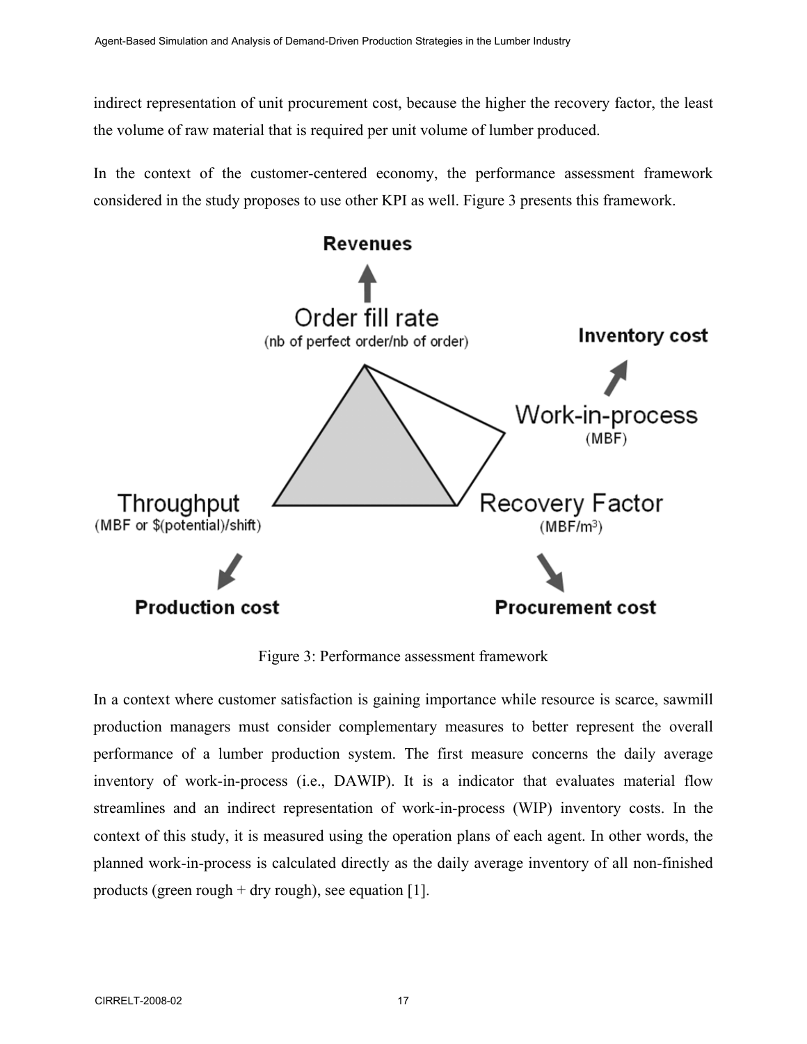indirect representation of unit procurement cost, because the higher the recovery factor, the least the volume of raw material that is required per unit volume of lumber produced.

In the context of the customer-centered economy, the performance assessment framework considered in the study proposes to use other KPI as well. Figure 3 presents this framework.



Figure 3: Performance assessment framework

In a context where customer satisfaction is gaining importance while resource is scarce, sawmill production managers must consider complementary measures to better represent the overall performance of a lumber production system. The first measure concerns the daily average inventory of work-in-process (i.e., DAWIP). It is a indicator that evaluates material flow streamlines and an indirect representation of work-in-process (WIP) inventory costs. In the context of this study, it is measured using the operation plans of each agent. In other words, the planned work-in-process is calculated directly as the daily average inventory of all non-finished products (green rough  $+$  dry rough), see equation [1].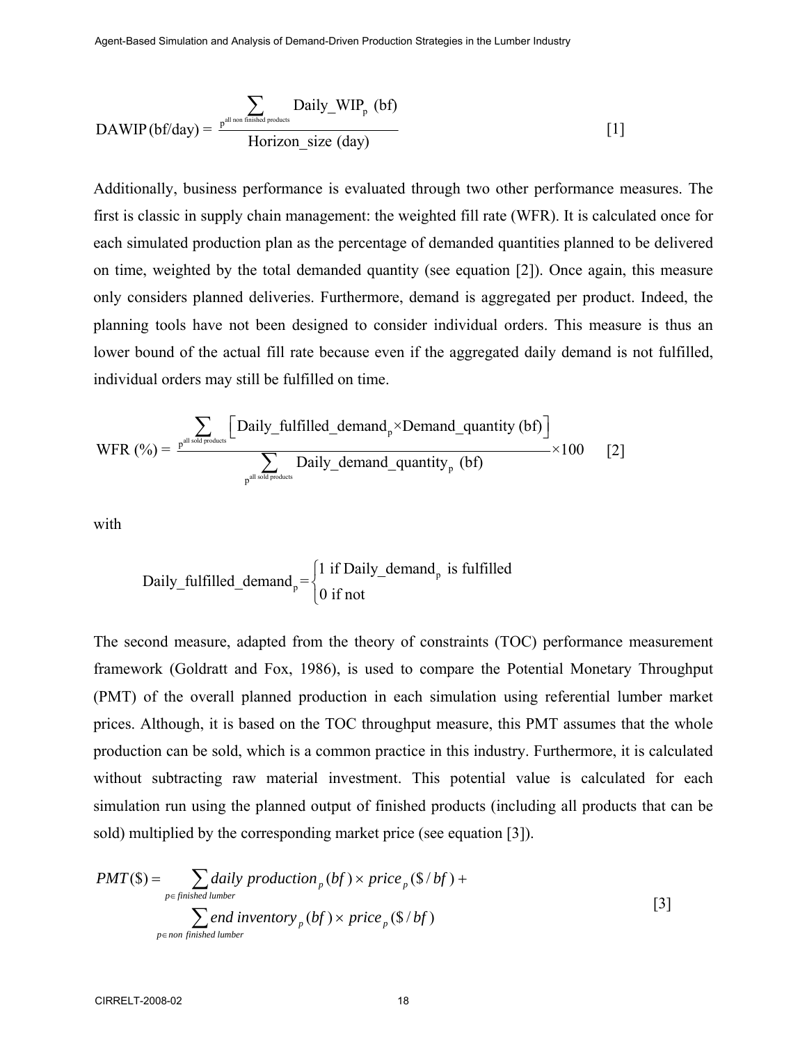$$
DAWIP(bf/day) = \frac{\sum_{p^{all non finished products}} Daily\_WIP_p (bf)}{Horizontal size (day)}
$$
 [1]

Additionally, business performance is evaluated through two other performance measures. The first is classic in supply chain management: the weighted fill rate (WFR). It is calculated once for each simulated production plan as the percentage of demanded quantities planned to be delivered on time, weighted by the total demanded quantity (see equation [2]). Once again, this measure only considers planned deliveries. Furthermore, demand is aggregated per product. Indeed, the planning tools have not been designed to consider individual orders. This measure is thus an lower bound of the actual fill rate because even if the aggregated daily demand is not fulfilled, individual orders may still be fulfilled on time.

$$
\text{WFR } (\%) = \frac{\displaystyle\sum_{p^{all \, sold \, products}} \Big[ \text{Daily\_fulfilled\_demand}_{p} \times \text{Demand\_quantity (bf)} \Big] }{\displaystyle\sum_{p^{all \, sold \, products}} \text{Daily\_demand\_quantity}_{p} \ (bf{bf})} \times 100 \qquad [2]
$$

with

Daily\_fulfilled\_demand<sub>p</sub> = 
$$
\begin{cases} 1 \text{ if Daily_demand}_p \text{ is fulfilled} \\ 0 \text{ if not} \end{cases}
$$

The second measure, adapted from the theory of constraints (TOC) performance measurement framework (Goldratt and Fox, 1986), is used to compare the Potential Monetary Throughput (PMT) of the overall planned production in each simulation using referential lumber market prices. Although, it is based on the TOC throughput measure, this PMT assumes that the whole production can be sold, which is a common practice in this industry. Furthermore, it is calculated without subtracting raw material investment. This potential value is calculated for each simulation run using the planned output of finished products (including all products that can be sold) multiplied by the corresponding market price (see equation [3]).

$$
PMT(\$) = \sum_{p \in \text{finite} \text{ number}} \text{daily production}_p \left( bf \right) \times \text{price}_p \left( \frac{\$}{bf} \right) + \sum_{p \in \text{non finished lumper}} \text{end inventory}_p \left( bf \right) \times \text{price}_p \left( \frac{\$}{bf} \right)
$$
 [3]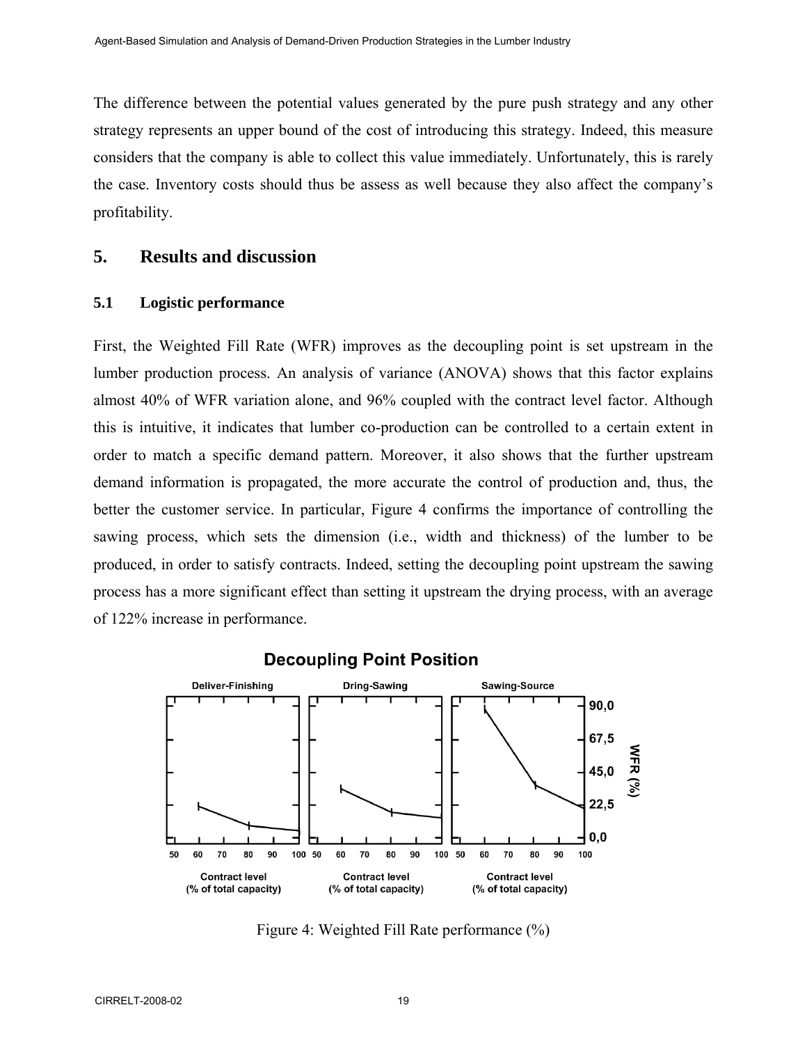The difference between the potential values generated by the pure push strategy and any other strategy represents an upper bound of the cost of introducing this strategy. Indeed, this measure considers that the company is able to collect this value immediately. Unfortunately, this is rarely the case. Inventory costs should thus be assess as well because they also affect the company's profitability.

# **5. Results and discussion**

#### **5.1 Logistic performance**

First, the Weighted Fill Rate (WFR) improves as the decoupling point is set upstream in the lumber production process. An analysis of variance (ANOVA) shows that this factor explains almost 40% of WFR variation alone, and 96% coupled with the contract level factor. Although this is intuitive, it indicates that lumber co-production can be controlled to a certain extent in order to match a specific demand pattern. Moreover, it also shows that the further upstream demand information is propagated, the more accurate the control of production and, thus, the better the customer service. In particular, Figure 4 confirms the importance of controlling the sawing process, which sets the dimension (i.e., width and thickness) of the lumber to be produced, in order to satisfy contracts. Indeed, setting the decoupling point upstream the sawing process has a more significant effect than setting it upstream the drying process, with an average of 122% increase in performance.



**Decoupling Point Position** 

Figure 4: Weighted Fill Rate performance (%)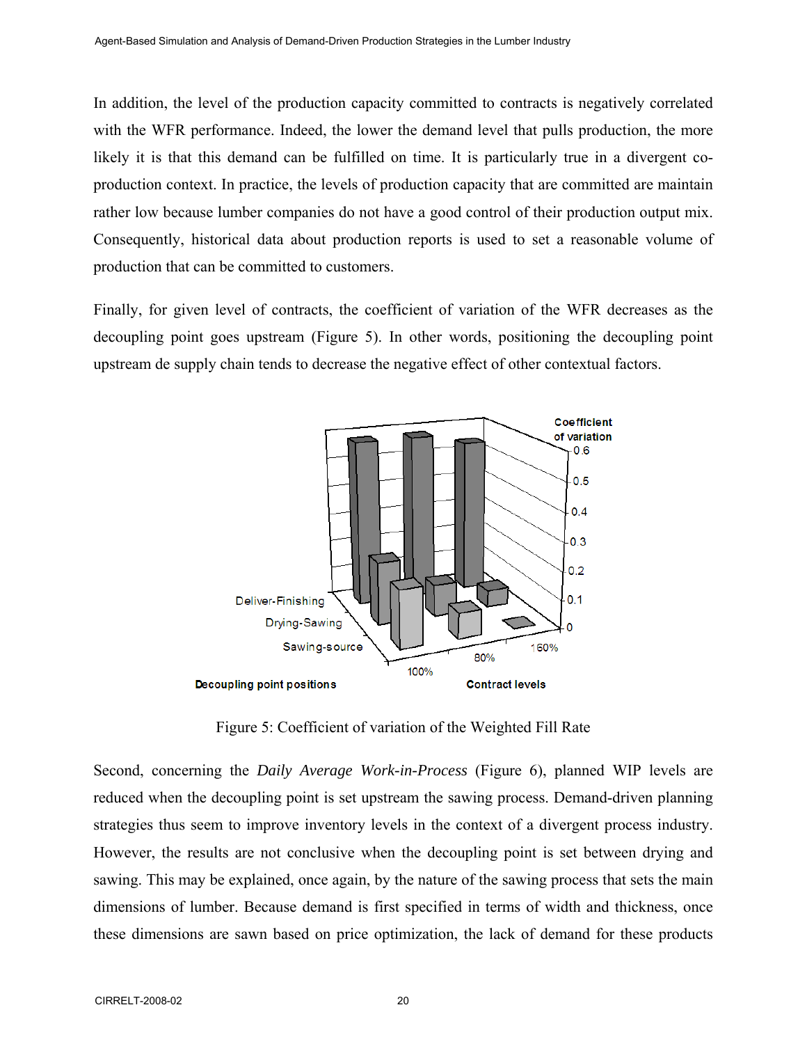In addition, the level of the production capacity committed to contracts is negatively correlated with the WFR performance. Indeed, the lower the demand level that pulls production, the more likely it is that this demand can be fulfilled on time. It is particularly true in a divergent coproduction context. In practice, the levels of production capacity that are committed are maintain rather low because lumber companies do not have a good control of their production output mix. Consequently, historical data about production reports is used to set a reasonable volume of production that can be committed to customers.

Finally, for given level of contracts, the coefficient of variation of the WFR decreases as the decoupling point goes upstream (Figure 5). In other words, positioning the decoupling point upstream de supply chain tends to decrease the negative effect of other contextual factors.



Figure 5: Coefficient of variation of the Weighted Fill Rate

Second, concerning the *Daily Average Work-in-Process* (Figure 6), planned WIP levels are reduced when the decoupling point is set upstream the sawing process. Demand-driven planning strategies thus seem to improve inventory levels in the context of a divergent process industry. However, the results are not conclusive when the decoupling point is set between drying and sawing. This may be explained, once again, by the nature of the sawing process that sets the main dimensions of lumber. Because demand is first specified in terms of width and thickness, once these dimensions are sawn based on price optimization, the lack of demand for these products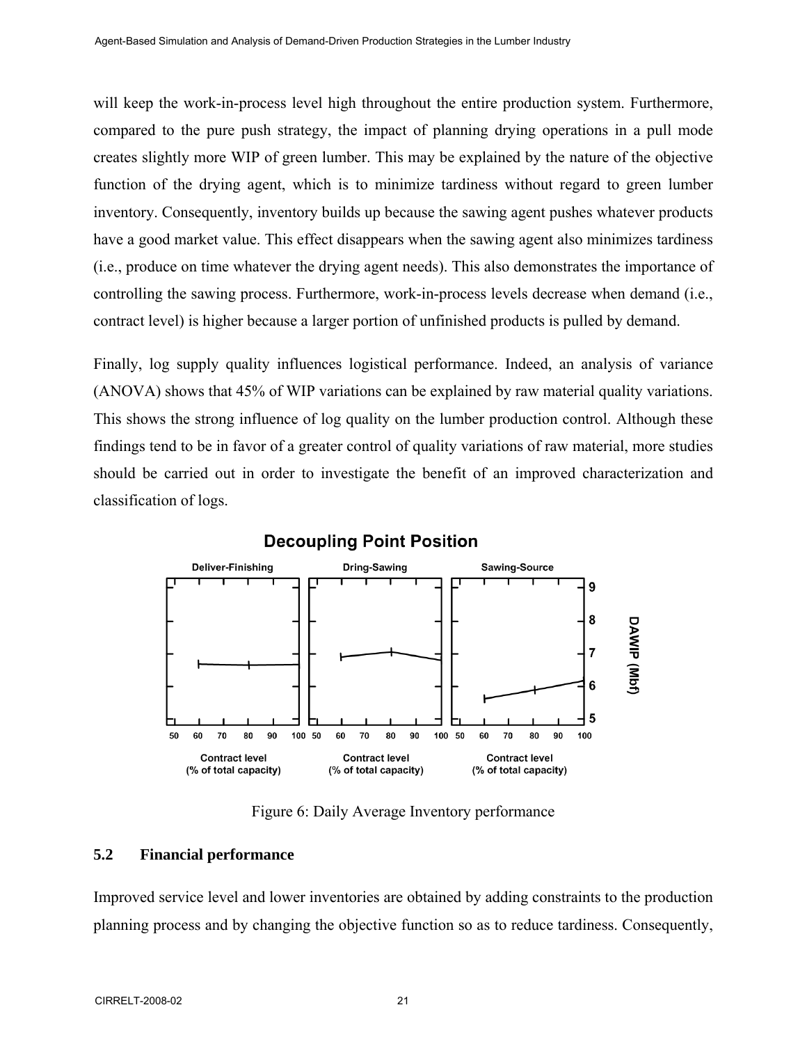will keep the work-in-process level high throughout the entire production system. Furthermore, compared to the pure push strategy, the impact of planning drying operations in a pull mode creates slightly more WIP of green lumber. This may be explained by the nature of the objective function of the drying agent, which is to minimize tardiness without regard to green lumber inventory. Consequently, inventory builds up because the sawing agent pushes whatever products have a good market value. This effect disappears when the sawing agent also minimizes tardiness (i.e., produce on time whatever the drying agent needs). This also demonstrates the importance of controlling the sawing process. Furthermore, work-in-process levels decrease when demand (i.e., contract level) is higher because a larger portion of unfinished products is pulled by demand.

Finally, log supply quality influences logistical performance. Indeed, an analysis of variance (ANOVA) shows that 45% of WIP variations can be explained by raw material quality variations. This shows the strong influence of log quality on the lumber production control. Although these findings tend to be in favor of a greater control of quality variations of raw material, more studies should be carried out in order to investigate the benefit of an improved characterization and classification of logs.



Figure 6: Daily Average Inventory performance

#### **5.2 Financial performance**

Improved service level and lower inventories are obtained by adding constraints to the production planning process and by changing the objective function so as to reduce tardiness. Consequently,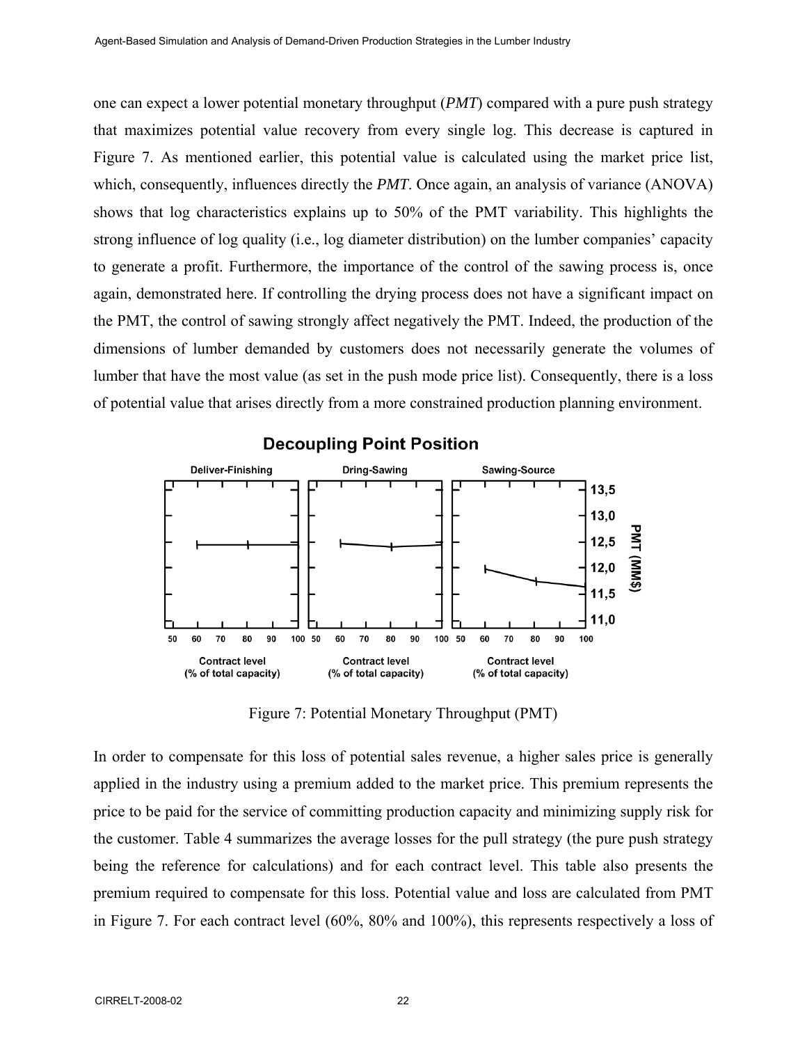one can expect a lower potential monetary throughput (*PMT*) compared with a pure push strategy that maximizes potential value recovery from every single log. This decrease is captured in Figure 7. As mentioned earlier, this potential value is calculated using the market price list, which, consequently, influences directly the *PMT*. Once again, an analysis of variance (ANOVA) shows that log characteristics explains up to 50% of the PMT variability. This highlights the strong influence of log quality (i.e., log diameter distribution) on the lumber companies' capacity to generate a profit. Furthermore, the importance of the control of the sawing process is, once again, demonstrated here. If controlling the drying process does not have a significant impact on the PMT, the control of sawing strongly affect negatively the PMT. Indeed, the production of the dimensions of lumber demanded by customers does not necessarily generate the volumes of lumber that have the most value (as set in the push mode price list). Consequently, there is a loss of potential value that arises directly from a more constrained production planning environment.



#### **Decoupling Point Position**

Figure 7: Potential Monetary Throughput (PMT)

In order to compensate for this loss of potential sales revenue, a higher sales price is generally applied in the industry using a premium added to the market price. This premium represents the price to be paid for the service of committing production capacity and minimizing supply risk for the customer. Table 4 summarizes the average losses for the pull strategy (the pure push strategy being the reference for calculations) and for each contract level. This table also presents the premium required to compensate for this loss. Potential value and loss are calculated from PMT in Figure 7. For each contract level (60%, 80% and 100%), this represents respectively a loss of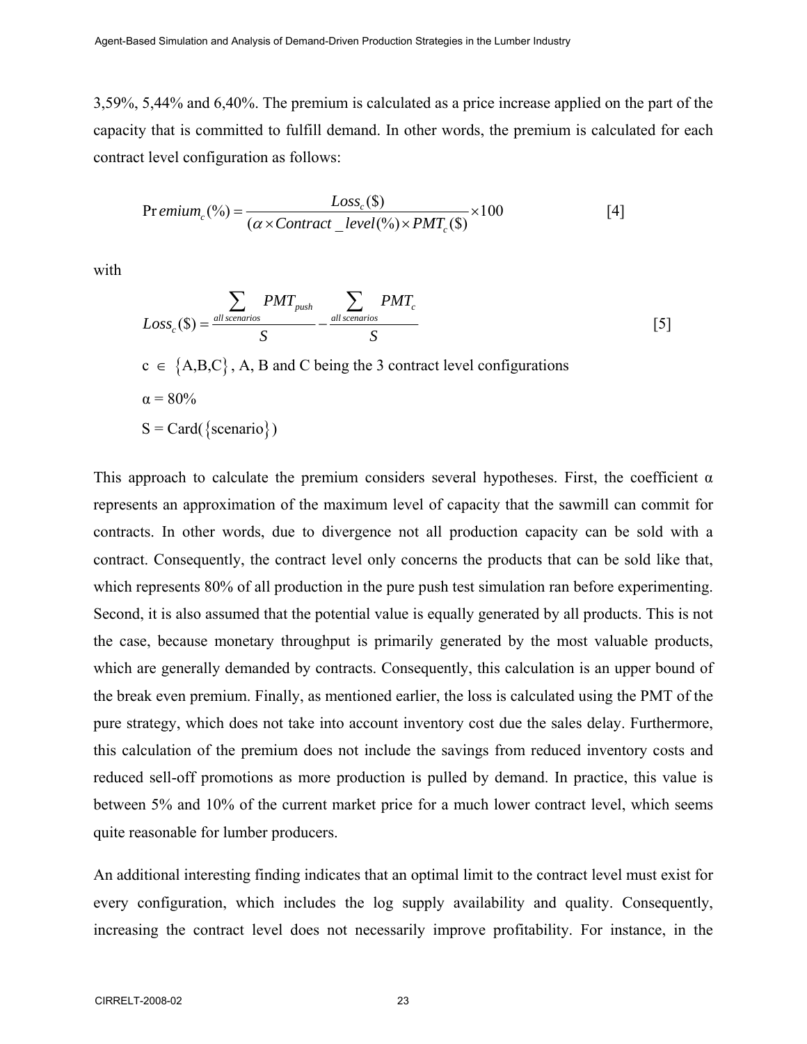3,59%, 5,44% and 6,40%. The premium is calculated as a price increase applied on the part of the capacity that is committed to fulfill demand. In other words, the premium is calculated for each contract level configuration as follows:

$$
Pr\,emium_c(^{96}) = \frac{Loss_c(\$)}{(\alpha \times Contract\_level(^{96}) \times PMT_c(\$)} \times 100
$$
 [4]

with

$$
Loss_c(\$) = \frac{\sum_{all\, scenarios} PMT_{push}}{S} - \frac{\sum_{all\, scenarios} PMT_c}{S}
$$
 [5]

 $c \in \{A,B,C\}$ , A, B and C being the 3 contract level configurations  $\alpha = 80\%$  $S = Card({scenario})$ 

This approach to calculate the premium considers several hypotheses. First, the coefficient  $\alpha$ represents an approximation of the maximum level of capacity that the sawmill can commit for contracts. In other words, due to divergence not all production capacity can be sold with a contract. Consequently, the contract level only concerns the products that can be sold like that, which represents 80% of all production in the pure push test simulation ran before experimenting. Second, it is also assumed that the potential value is equally generated by all products. This is not the case, because monetary throughput is primarily generated by the most valuable products, which are generally demanded by contracts. Consequently, this calculation is an upper bound of the break even premium. Finally, as mentioned earlier, the loss is calculated using the PMT of the pure strategy, which does not take into account inventory cost due the sales delay. Furthermore, this calculation of the premium does not include the savings from reduced inventory costs and reduced sell-off promotions as more production is pulled by demand. In practice, this value is between 5% and 10% of the current market price for a much lower contract level, which seems quite reasonable for lumber producers.

An additional interesting finding indicates that an optimal limit to the contract level must exist for every configuration, which includes the log supply availability and quality. Consequently, increasing the contract level does not necessarily improve profitability. For instance, in the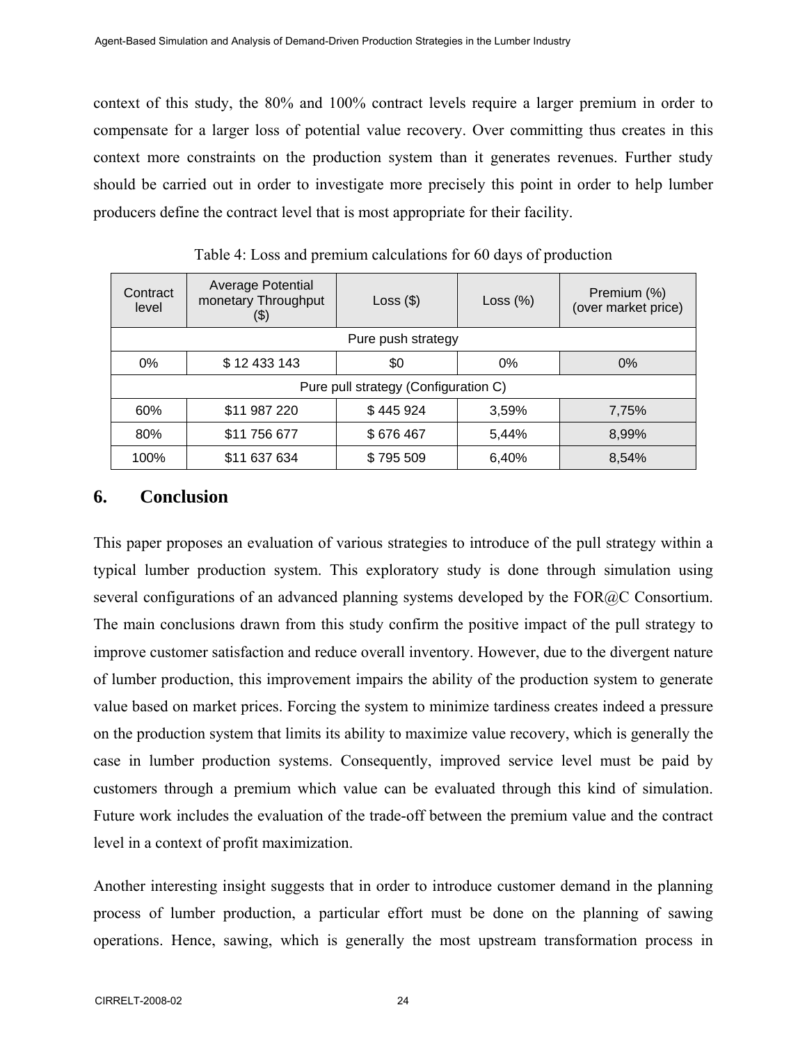context of this study, the 80% and 100% contract levels require a larger premium in order to compensate for a larger loss of potential value recovery. Over committing thus creates in this context more constraints on the production system than it generates revenues. Further study should be carried out in order to investigate more precisely this point in order to help lumber producers define the contract level that is most appropriate for their facility.

| Contract<br>level                    | <b>Average Potential</b><br>monetary Throughput<br>(\$) | Loss $(\$)$ | Loss $(\%)$ | Premium (%)<br>(over market price) |
|--------------------------------------|---------------------------------------------------------|-------------|-------------|------------------------------------|
| Pure push strategy                   |                                                         |             |             |                                    |
| $0\%$                                | \$12 433 143                                            | \$0         | $0\%$       | $0\%$                              |
| Pure pull strategy (Configuration C) |                                                         |             |             |                                    |
| 60%                                  | \$11 987 220                                            | \$445924    | 3,59%       | 7,75%                              |
| 80%                                  | \$11 756 677                                            | \$676467    | 5,44%       | 8,99%                              |
| 100%                                 | \$11 637 634                                            | \$795 509   | 6,40%       | 8,54%                              |

Table 4: Loss and premium calculations for 60 days of production

# **6. Conclusion**

This paper proposes an evaluation of various strategies to introduce of the pull strategy within a typical lumber production system. This exploratory study is done through simulation using several configurations of an advanced planning systems developed by the FOR@C Consortium. The main conclusions drawn from this study confirm the positive impact of the pull strategy to improve customer satisfaction and reduce overall inventory. However, due to the divergent nature of lumber production, this improvement impairs the ability of the production system to generate value based on market prices. Forcing the system to minimize tardiness creates indeed a pressure on the production system that limits its ability to maximize value recovery, which is generally the case in lumber production systems. Consequently, improved service level must be paid by customers through a premium which value can be evaluated through this kind of simulation. Future work includes the evaluation of the trade-off between the premium value and the contract level in a context of profit maximization.

Another interesting insight suggests that in order to introduce customer demand in the planning process of lumber production, a particular effort must be done on the planning of sawing operations. Hence, sawing, which is generally the most upstream transformation process in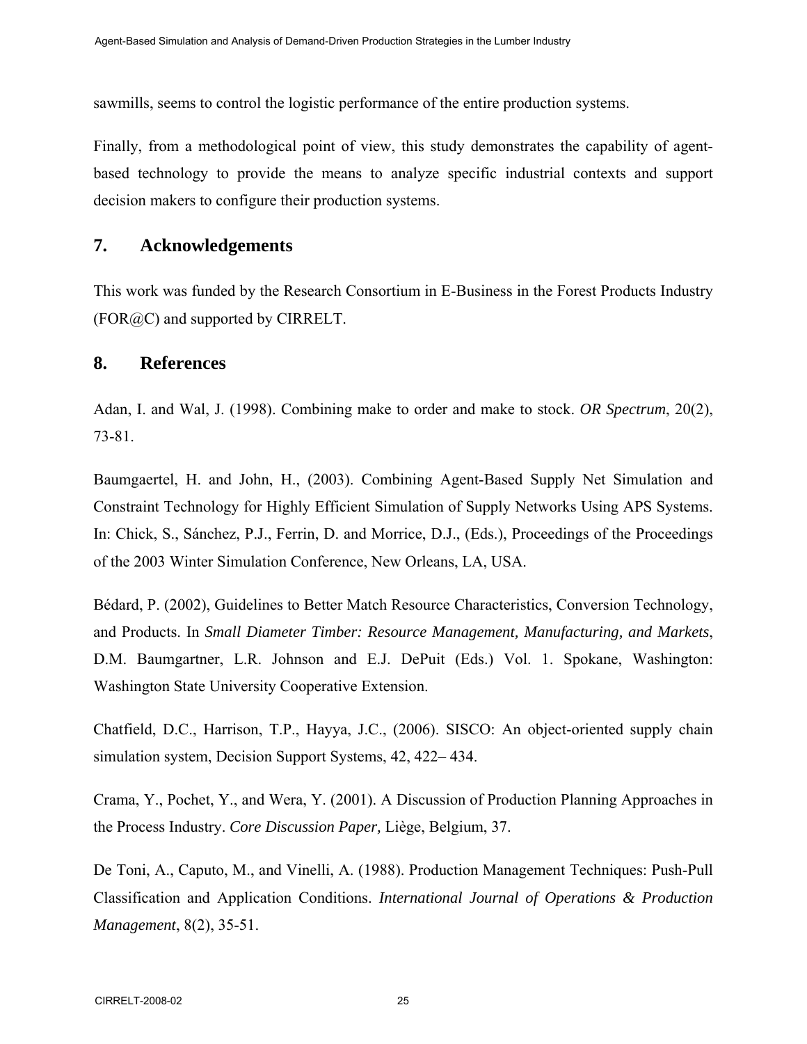sawmills, seems to control the logistic performance of the entire production systems.

Finally, from a methodological point of view, this study demonstrates the capability of agentbased technology to provide the means to analyze specific industrial contexts and support decision makers to configure their production systems.

# **7. Acknowledgements**

This work was funded by the Research Consortium in E-Business in the Forest Products Industry  $(FOR@C)$  and supported by CIRRELT.

### **8. References**

Adan, I. and Wal, J. (1998). Combining make to order and make to stock. *OR Spectrum*, 20(2), 73-81.

Baumgaertel, H. and John, H., (2003). Combining Agent-Based Supply Net Simulation and Constraint Technology for Highly Efficient Simulation of Supply Networks Using APS Systems. In: Chick, S., Sánchez, P.J., Ferrin, D. and Morrice, D.J., (Eds.), Proceedings of the Proceedings of the 2003 Winter Simulation Conference, New Orleans, LA, USA.

Bédard, P. (2002), Guidelines to Better Match Resource Characteristics, Conversion Technology, and Products. In *Small Diameter Timber: Resource Management, Manufacturing, and Markets*, D.M. Baumgartner, L.R. Johnson and E.J. DePuit (Eds.) Vol. 1. Spokane, Washington: Washington State University Cooperative Extension.

Chatfield, D.C., Harrison, T.P., Hayya, J.C., (2006). SISCO: An object-oriented supply chain simulation system, Decision Support Systems, 42, 422– 434.

Crama, Y., Pochet, Y., and Wera, Y. (2001). A Discussion of Production Planning Approaches in the Process Industry. *Core Discussion Paper,* Liège, Belgium, 37.

De Toni, A., Caputo, M., and Vinelli, A. (1988). Production Management Techniques: Push-Pull Classification and Application Conditions. *International Journal of Operations & Production Management*, 8(2), 35-51.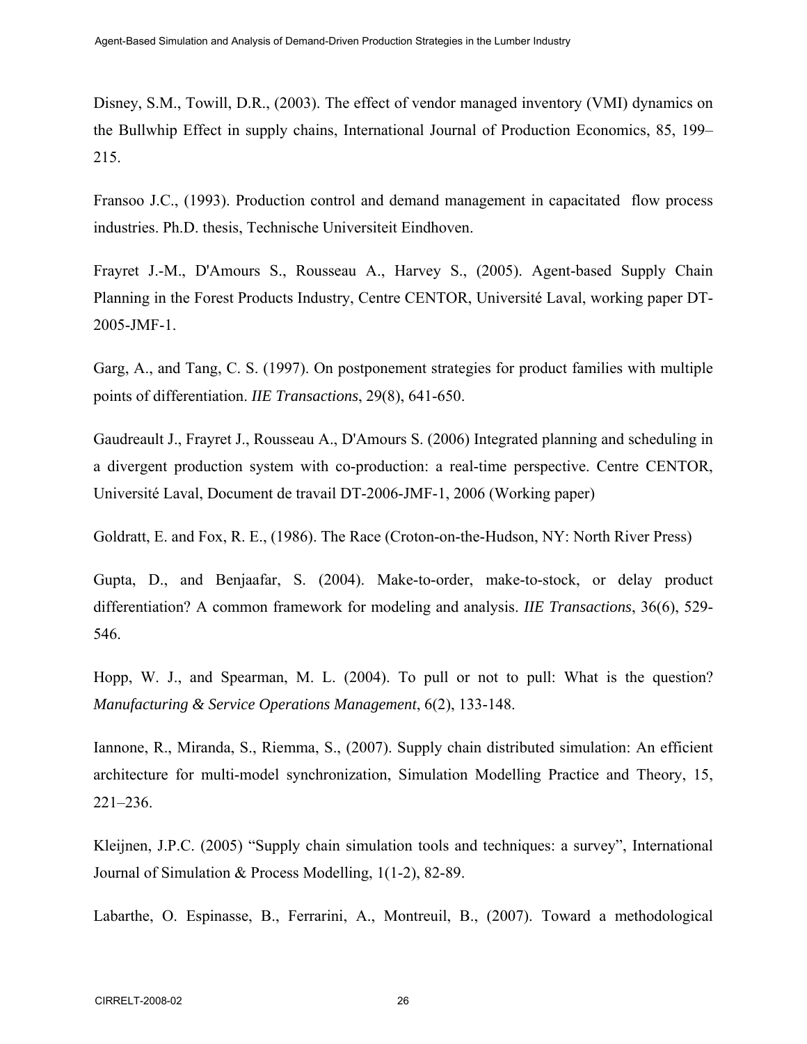Disney, S.M., Towill, D.R., (2003). The effect of vendor managed inventory (VMI) dynamics on the Bullwhip Effect in supply chains, International Journal of Production Economics, 85, 199– 215.

Fransoo J.C., (1993). Production control and demand management in capacitated flow process industries. Ph.D. thesis, Technische Universiteit Eindhoven.

Frayret J.-M., D'Amours S., Rousseau A., Harvey S., (2005). Agent-based Supply Chain Planning in the Forest Products Industry, Centre CENTOR, Université Laval, working paper DT-2005-JMF-1.

Garg, A., and Tang, C. S. (1997). On postponement strategies for product families with multiple points of differentiation. *IIE Transactions*, 29(8), 641-650.

Gaudreault J., Frayret J., Rousseau A., D'Amours S. (2006) Integrated planning and scheduling in a divergent production system with co-production: a real-time perspective. Centre CENTOR, Université Laval, Document de travail DT-2006-JMF-1, 2006 (Working paper)

Goldratt, E. and Fox, R. E., (1986). The Race (Croton-on-the-Hudson, NY: North River Press)

Gupta, D., and Benjaafar, S. (2004). Make-to-order, make-to-stock, or delay product differentiation? A common framework for modeling and analysis. *IIE Transactions*, 36(6), 529- 546.

Hopp, W. J., and Spearman, M. L. (2004). To pull or not to pull: What is the question? *Manufacturing & Service Operations Management*, 6(2), 133-148.

Iannone, R., Miranda, S., Riemma, S., (2007). Supply chain distributed simulation: An efficient architecture for multi-model synchronization, Simulation Modelling Practice and Theory, 15, 221–236.

Kleijnen, J.P.C. (2005) "Supply chain simulation tools and techniques: a survey", International Journal of Simulation & Process Modelling, 1(1-2), 82-89.

Labarthe, O. Espinasse, B., Ferrarini, A., Montreuil, B., (2007). Toward a methodological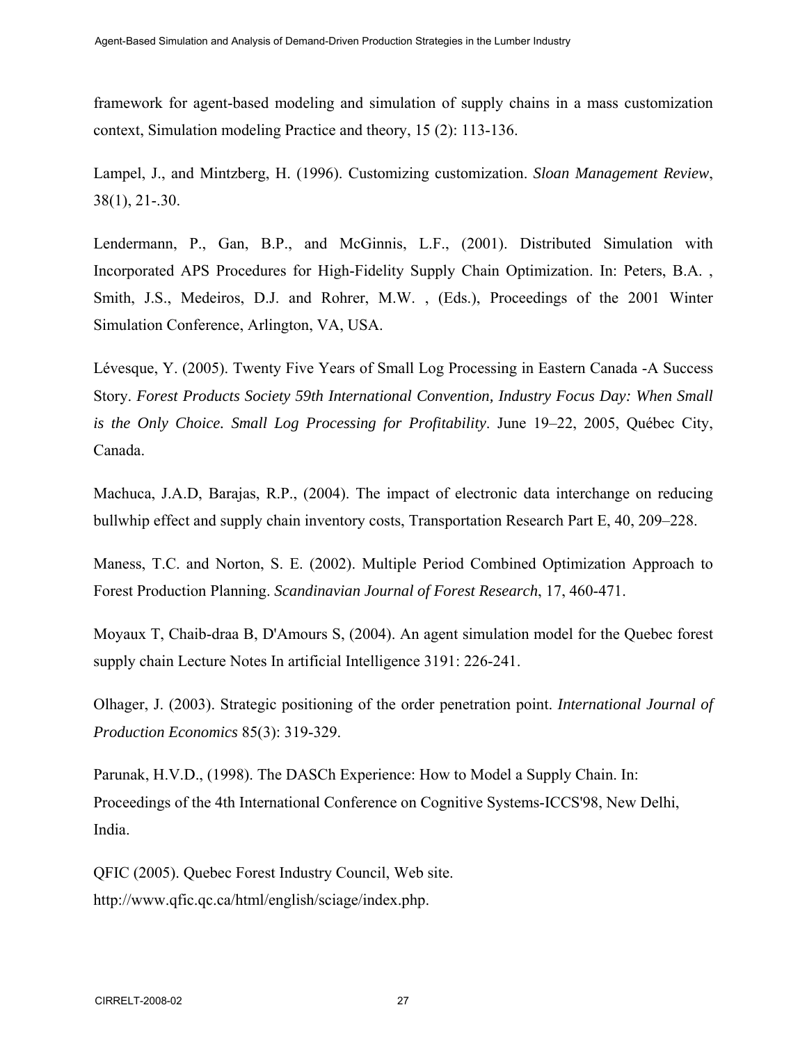framework for agent-based modeling and simulation of supply chains in a mass customization context, Simulation modeling Practice and theory, 15 (2): 113-136.

Lampel, J., and Mintzberg, H. (1996). Customizing customization. *Sloan Management Review*, 38(1), 21-.30.

Lendermann, P., Gan, B.P., and McGinnis, L.F., (2001). Distributed Simulation with Incorporated APS Procedures for High-Fidelity Supply Chain Optimization. In: Peters, B.A. , Smith, J.S., Medeiros, D.J. and Rohrer, M.W. , (Eds.), Proceedings of the 2001 Winter Simulation Conference, Arlington, VA, USA.

Lévesque, Y. (2005). Twenty Five Years of Small Log Processing in Eastern Canada -A Success Story. *Forest Products Society 59th International Convention, Industry Focus Day: When Small is the Only Choice. Small Log Processing for Profitability*. June 19–22, 2005, Québec City, Canada.

Machuca, J.A.D, Barajas, R.P., (2004). The impact of electronic data interchange on reducing bullwhip effect and supply chain inventory costs, Transportation Research Part E, 40, 209–228.

Maness, T.C. and Norton, S. E. (2002). Multiple Period Combined Optimization Approach to Forest Production Planning. *Scandinavian Journal of Forest Research*, 17, 460-471.

Moyaux T, Chaib-draa B, D'Amours S, (2004). An agent simulation model for the Quebec forest supply chain Lecture Notes In artificial Intelligence 3191: 226-241.

Olhager, J. (2003). Strategic positioning of the order penetration point. *International Journal of Production Economics* 85(3): 319-329.

Parunak, H.V.D., (1998). The DASCh Experience: How to Model a Supply Chain. In: Proceedings of the 4th International Conference on Cognitive Systems-ICCS'98, New Delhi, India.

QFIC (2005). Quebec Forest Industry Council, Web site. http://www.qfic.qc.ca/html/english/sciage/index.php.